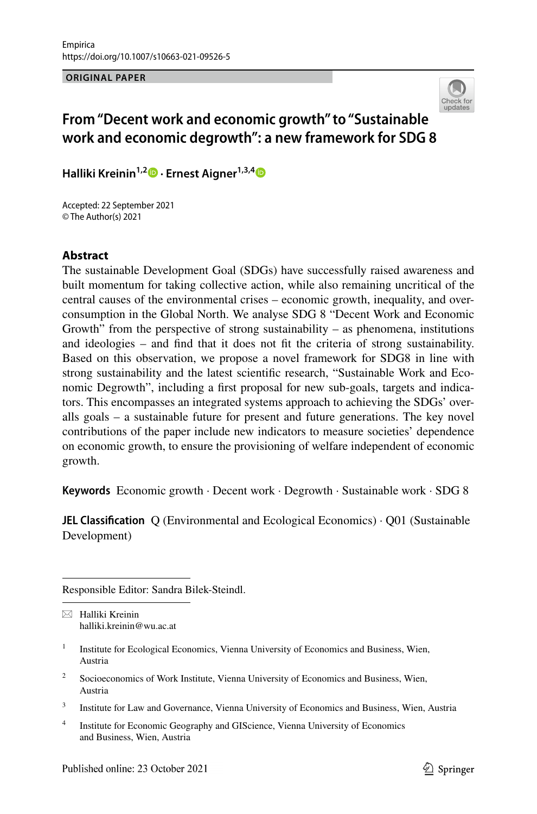**ORIGINAL PAPER**



# **From "Decent work and economic growth" to "Sustainable work and economic degrowth": a new framework for SDG 8**

**HallikiKreinin<sup>1,2</sup> • Ernest Aigner**<sup>1,3,[4](http://orcid.org/0000-0002-8195-3588)</sup> <sup>•</sup>

Accepted: 22 September 2021 © The Author(s) 2021

### **Abstract**

The sustainable Development Goal (SDGs) have successfully raised awareness and built momentum for taking collective action, while also remaining uncritical of the central causes of the environmental crises – economic growth, inequality, and overconsumption in the Global North. We analyse SDG 8 "Decent Work and Economic Growth" from the perspective of strong sustainability – as phenomena, institutions and ideologies – and fnd that it does not ft the criteria of strong sustainability. Based on this observation, we propose a novel framework for SDG8 in line with strong sustainability and the latest scientifc research, "Sustainable Work and Economic Degrowth", including a frst proposal for new sub-goals, targets and indicators. This encompasses an integrated systems approach to achieving the SDGs' overalls goals – a sustainable future for present and future generations. The key novel contributions of the paper include new indicators to measure societies' dependence on economic growth, to ensure the provisioning of welfare independent of economic growth.

**Keywords** Economic growth · Decent work · Degrowth · Sustainable work · SDG 8

**JEL Classification** O (Environmental and Ecological Economics) · O01 (Sustainable Development)

Responsible Editor: Sandra Bilek-Steindl.

 $\boxtimes$  Halliki Kreinin halliki.kreinin@wu.ac.at

- <sup>2</sup> Socioeconomics of Work Institute, Vienna University of Economics and Business, Wien, Austria
- <sup>3</sup> Institute for Law and Governance, Vienna University of Economics and Business, Wien, Austria
- <sup>4</sup> Institute for Economic Geography and GIScience, Vienna University of Economics and Business, Wien, Austria

<sup>&</sup>lt;sup>1</sup> Institute for Ecological Economics, Vienna University of Economics and Business, Wien, Austria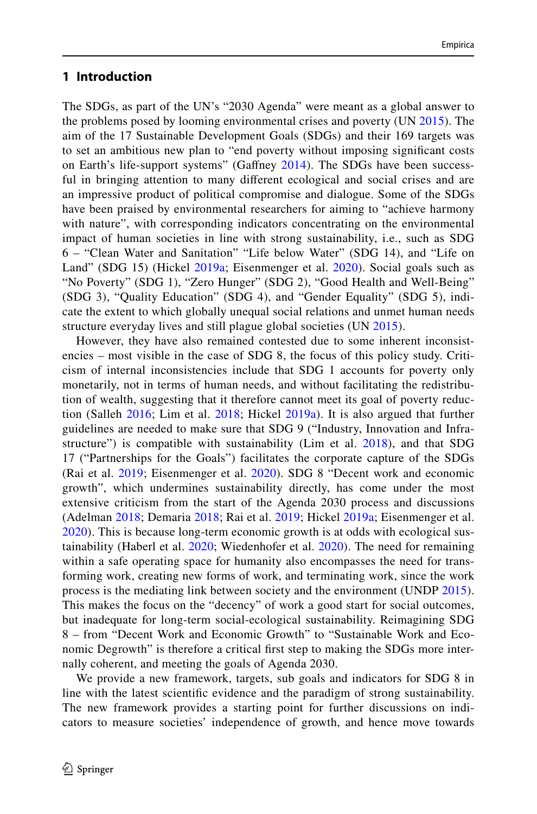### **1 Introduction**

The SDGs, as part of the UN's "2030 Agenda" were meant as a global answer to the problems posed by looming environmental crises and poverty (UN [2015\)](#page-30-0). The aim of the 17 Sustainable Development Goals (SDGs) and their 169 targets was to set an ambitious new plan to "end poverty without imposing signifcant costs on Earth's life-support systems" (Gaffney [2014\)](#page-27-0). The SDGs have been successful in bringing attention to many diferent ecological and social crises and are an impressive product of political compromise and dialogue. Some of the SDGs have been praised by environmental researchers for aiming to "achieve harmony with nature", with corresponding indicators concentrating on the environmental impact of human societies in line with strong sustainability, i.e., such as SDG 6 – "Clean Water and Sanitation" "Life below Water" (SDG 14), and "Life on Land" (SDG 15) (Hickel [2019a](#page-27-1); Eisenmenger et al. [2020](#page-26-0)). Social goals such as "No Poverty" (SDG 1), "Zero Hunger" (SDG 2), "Good Health and Well-Being" (SDG 3), "Quality Education" (SDG 4), and "Gender Equality" (SDG 5), indicate the extent to which globally unequal social relations and unmet human needs structure everyday lives and still plague global societies (UN [2015\)](#page-30-0).

However, they have also remained contested due to some inherent inconsistencies – most visible in the case of SDG 8, the focus of this policy study. Criticism of internal inconsistencies include that SDG 1 accounts for poverty only monetarily, not in terms of human needs, and without facilitating the redistribution of wealth, suggesting that it therefore cannot meet its goal of poverty reduction (Salleh [2016](#page-29-0); Lim et al. [2018;](#page-28-0) Hickel [2019a\)](#page-27-1). It is also argued that further guidelines are needed to make sure that SDG 9 ("Industry, Innovation and Infrastructure") is compatible with sustainability (Lim et al. [2018\)](#page-28-0), and that SDG 17 ("Partnerships for the Goals") facilitates the corporate capture of the SDGs (Rai et al. [2019](#page-29-1); Eisenmenger et al. [2020](#page-26-0)). SDG 8 "Decent work and economic growth", which undermines sustainability directly, has come under the most extensive criticism from the start of the Agenda 2030 process and discussions (Adelman [2018](#page-25-0); Demaria [2018;](#page-26-1) Rai et al. [2019;](#page-29-1) Hickel [2019a](#page-27-1); Eisenmenger et al. [2020\)](#page-26-0). This is because long-term economic growth is at odds with ecological sustainability (Haberl et al. [2020;](#page-27-2) Wiedenhofer et al. [2020](#page-30-1)). The need for remaining within a safe operating space for humanity also encompasses the need for transforming work, creating new forms of work, and terminating work, since the work process is the mediating link between society and the environment (UNDP [2015](#page-30-2)). This makes the focus on the "decency" of work a good start for social outcomes, but inadequate for long-term social-ecological sustainability. Reimagining SDG 8 – from "Decent Work and Economic Growth" to "Sustainable Work and Economic Degrowth" is therefore a critical frst step to making the SDGs more internally coherent, and meeting the goals of Agenda 2030.

We provide a new framework, targets, sub goals and indicators for SDG 8 in line with the latest scientifc evidence and the paradigm of strong sustainability. The new framework provides a starting point for further discussions on indicators to measure societies' independence of growth, and hence move towards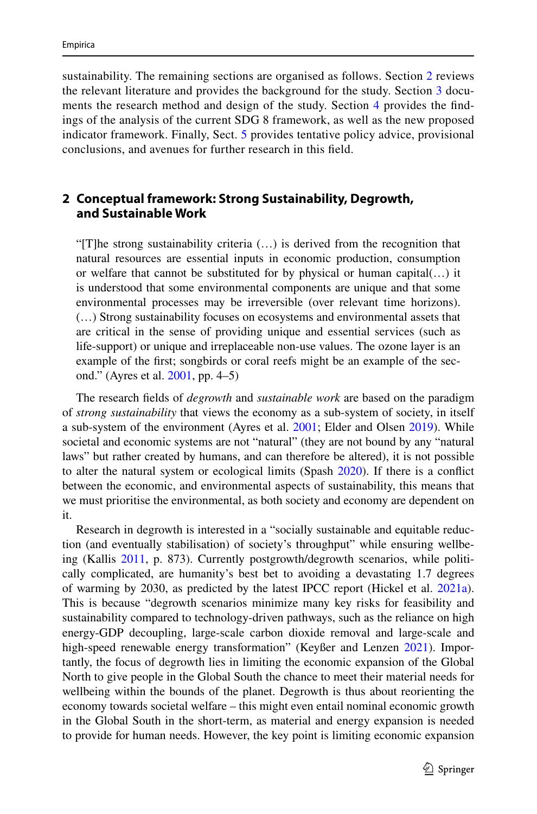sustainability. The remaining sections are organised as follows. Section [2](#page-2-0) reviews the relevant literature and provides the background for the study. Section [3](#page-3-0) documents the research method and design of the study. Section [4](#page-5-0) provides the fndings of the analysis of the current SDG 8 framework, as well as the new proposed indicator framework. Finally, Sect. [5](#page-21-0) provides tentative policy advice, provisional conclusions, and avenues for further research in this feld.

### <span id="page-2-0"></span>**2 Conceptual framework: Strong Sustainability, Degrowth, and Sustainable Work**

"[T]he strong sustainability criteria (…) is derived from the recognition that natural resources are essential inputs in economic production, consumption or welfare that cannot be substituted for by physical or human capital(…) it is understood that some environmental components are unique and that some environmental processes may be irreversible (over relevant time horizons). (…) Strong sustainability focuses on ecosystems and environmental assets that are critical in the sense of providing unique and essential services (such as life-support) or unique and irreplaceable non-use values. The ozone layer is an example of the frst; songbirds or coral reefs might be an example of the second." (Ayres et al. [2001](#page-25-1), pp. 4–5)

The research felds of *degrowth* and *sustainable work* are based on the paradigm of *strong sustainability* that views the economy as a sub-system of society, in itself a sub-system of the environment (Ayres et al. [2001;](#page-25-1) Elder and Olsen [2019\)](#page-26-2). While societal and economic systems are not "natural" (they are not bound by any "natural laws" but rather created by humans, and can therefore be altered), it is not possible to alter the natural system or ecological limits (Spash [2020](#page-29-2)). If there is a confict between the economic, and environmental aspects of sustainability, this means that we must prioritise the environmental, as both society and economy are dependent on it.

Research in degrowth is interested in a "socially sustainable and equitable reduction (and eventually stabilisation) of society's throughput" while ensuring wellbeing (Kallis [2011](#page-28-1), p. 873). Currently postgrowth/degrowth scenarios, while politically complicated, are humanity's best bet to avoiding a devastating 1.7 degrees of warming by 2030, as predicted by the latest IPCC report (Hickel et al. [2021a\)](#page-27-3). This is because "degrowth scenarios minimize many key risks for feasibility and sustainability compared to technology-driven pathways, such as the reliance on high energy-GDP decoupling, large-scale carbon dioxide removal and large-scale and high-speed renewable energy transformation" (Keyßer and Lenzen [2021\)](#page-28-2). Importantly, the focus of degrowth lies in limiting the economic expansion of the Global North to give people in the Global South the chance to meet their material needs for wellbeing within the bounds of the planet. Degrowth is thus about reorienting the economy towards societal welfare – this might even entail nominal economic growth in the Global South in the short-term, as material and energy expansion is needed to provide for human needs. However, the key point is limiting economic expansion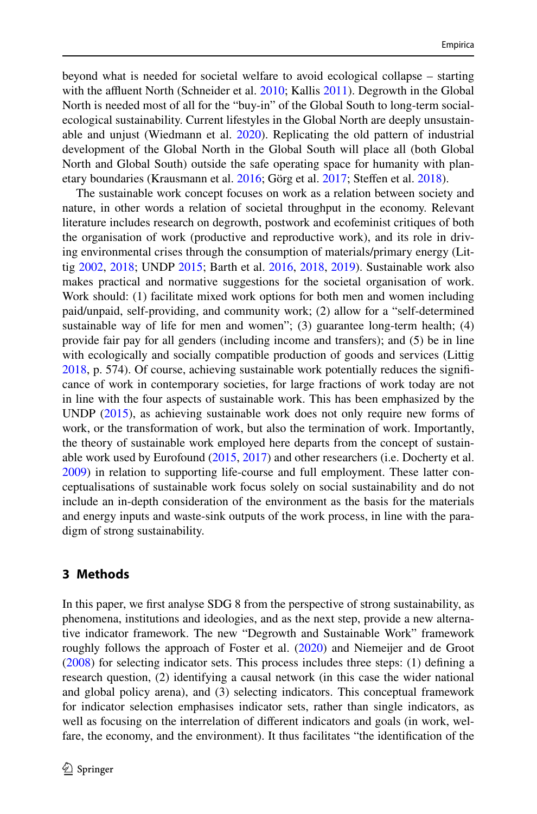beyond what is needed for societal welfare to avoid ecological collapse – starting with the affluent North (Schneider et al.  $2010$ ; Kallis  $2011$ ). Degrowth in the Global North is needed most of all for the "buy-in" of the Global South to long-term socialecological sustainability. Current lifestyles in the Global North are deeply unsustain-able and unjust (Wiedmann et al. [2020\)](#page-30-3). Replicating the old pattern of industrial development of the Global North in the Global South will place all (both Global North and Global South) outside the safe operating space for humanity with planetary boundaries (Krausmann et al. [2016](#page-28-3); Görg et al. [2017](#page-27-4); Stefen et al. [2018\)](#page-30-4).

The sustainable work concept focuses on work as a relation between society and nature, in other words a relation of societal throughput in the economy. Relevant literature includes research on degrowth, postwork and ecofeminist critiques of both the organisation of work (productive and reproductive work), and its role in driving environmental crises through the consumption of materials/primary energy (Littig [2002,](#page-29-4) [2018](#page-29-5); UNDP [2015](#page-30-2); Barth et al. [2016](#page-25-2), [2018,](#page-25-3) [2019](#page-25-4)). Sustainable work also makes practical and normative suggestions for the societal organisation of work. Work should: (1) facilitate mixed work options for both men and women including paid/unpaid, self-providing, and community work; (2) allow for a "self-determined sustainable way of life for men and women";  $(3)$  guarantee long-term health;  $(4)$ provide fair pay for all genders (including income and transfers); and (5) be in line with ecologically and socially compatible production of goods and services (Littig [2018](#page-29-5), p. 574). Of course, achieving sustainable work potentially reduces the signifcance of work in contemporary societies, for large fractions of work today are not in line with the four aspects of sustainable work. This has been emphasized by the UNDP [\(2015](#page-30-2)), as achieving sustainable work does not only require new forms of work, or the transformation of work, but also the termination of work. Importantly, the theory of sustainable work employed here departs from the concept of sustainable work used by Eurofound ([2015,](#page-26-3) [2017\)](#page-26-4) and other researchers (i.e. Docherty et al. [2009](#page-26-5)) in relation to supporting life-course and full employment. These latter conceptualisations of sustainable work focus solely on social sustainability and do not include an in-depth consideration of the environment as the basis for the materials and energy inputs and waste-sink outputs of the work process, in line with the paradigm of strong sustainability.

### <span id="page-3-0"></span>**3 Methods**

In this paper, we frst analyse SDG 8 from the perspective of strong sustainability, as phenomena, institutions and ideologies, and as the next step, provide a new alternative indicator framework. The new "Degrowth and Sustainable Work" framework roughly follows the approach of Foster et al. [\(2020](#page-27-5)) and Niemeijer and de Groot [\(2008](#page-29-6)) for selecting indicator sets. This process includes three steps: (1) defning a research question, (2) identifying a causal network (in this case the wider national and global policy arena), and (3) selecting indicators. This conceptual framework for indicator selection emphasises indicator sets, rather than single indicators, as well as focusing on the interrelation of diferent indicators and goals (in work, welfare, the economy, and the environment). It thus facilitates "the identifcation of the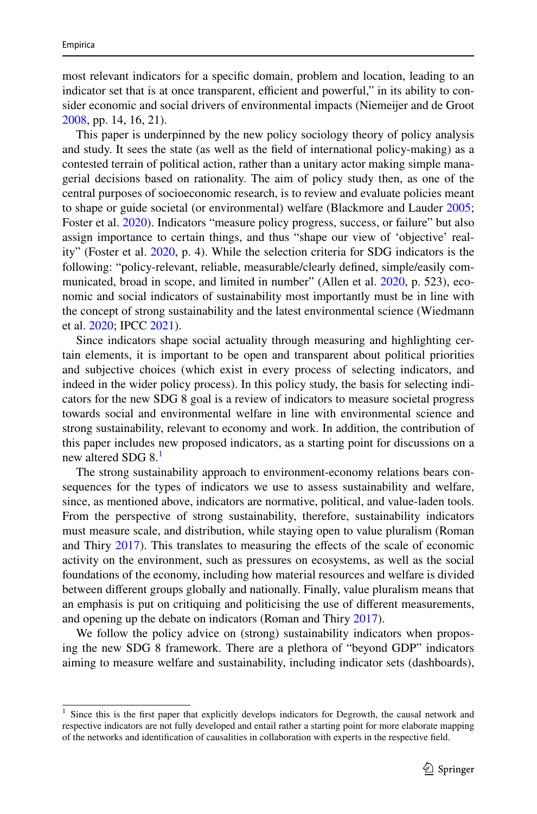most relevant indicators for a specifc domain, problem and location, leading to an indicator set that is at once transparent, efficient and powerful," in its ability to consider economic and social drivers of environmental impacts (Niemeijer and de Groot [2008](#page-29-6), pp. 14, 16, 21).

This paper is underpinned by the new policy sociology theory of policy analysis and study. It sees the state (as well as the feld of international policy-making) as a contested terrain of political action, rather than a unitary actor making simple managerial decisions based on rationality. The aim of policy study then, as one of the central purposes of socioeconomic research, is to review and evaluate policies meant to shape or guide societal (or environmental) welfare (Blackmore and Lauder [2005;](#page-26-6) Foster et al. [2020](#page-27-5)). Indicators "measure policy progress, success, or failure" but also assign importance to certain things, and thus "shape our view of 'objective' reality" (Foster et al. [2020](#page-27-5), p. 4). While the selection criteria for SDG indicators is the following: "policy-relevant, reliable, measurable/clearly defned, simple/easily communicated, broad in scope, and limited in number" (Allen et al. [2020](#page-25-5), p. 523), economic and social indicators of sustainability most importantly must be in line with the concept of strong sustainability and the latest environmental science (Wiedmann et al. [2020;](#page-30-3) IPCC [2021\)](#page-28-4).

Since indicators shape social actuality through measuring and highlighting certain elements, it is important to be open and transparent about political priorities and subjective choices (which exist in every process of selecting indicators, and indeed in the wider policy process). In this policy study, the basis for selecting indicators for the new SDG 8 goal is a review of indicators to measure societal progress towards social and environmental welfare in line with environmental science and strong sustainability, relevant to economy and work. In addition, the contribution of this paper includes new proposed indicators, as a starting point for discussions on a new altered SDG 8.<sup>[1](#page-4-0)</sup>

The strong sustainability approach to environment-economy relations bears consequences for the types of indicators we use to assess sustainability and welfare, since, as mentioned above, indicators are normative, political, and value-laden tools. From the perspective of strong sustainability, therefore, sustainability indicators must measure scale, and distribution, while staying open to value pluralism (Roman and Thiry [2017\)](#page-29-7). This translates to measuring the effects of the scale of economic activity on the environment, such as pressures on ecosystems, as well as the social foundations of the economy, including how material resources and welfare is divided between diferent groups globally and nationally. Finally, value pluralism means that an emphasis is put on critiquing and politicising the use of diferent measurements, and opening up the debate on indicators (Roman and Thiry [2017](#page-29-7)).

We follow the policy advice on (strong) sustainability indicators when proposing the new SDG 8 framework. There are a plethora of "beyond GDP" indicators aiming to measure welfare and sustainability, including indicator sets (dashboards),

<span id="page-4-0"></span><sup>&</sup>lt;sup>1</sup> Since this is the first paper that explicitly develops indicators for Degrowth, the causal network and respective indicators are not fully developed and entail rather a starting point for more elaborate mapping of the networks and identifcation of causalities in collaboration with experts in the respective feld.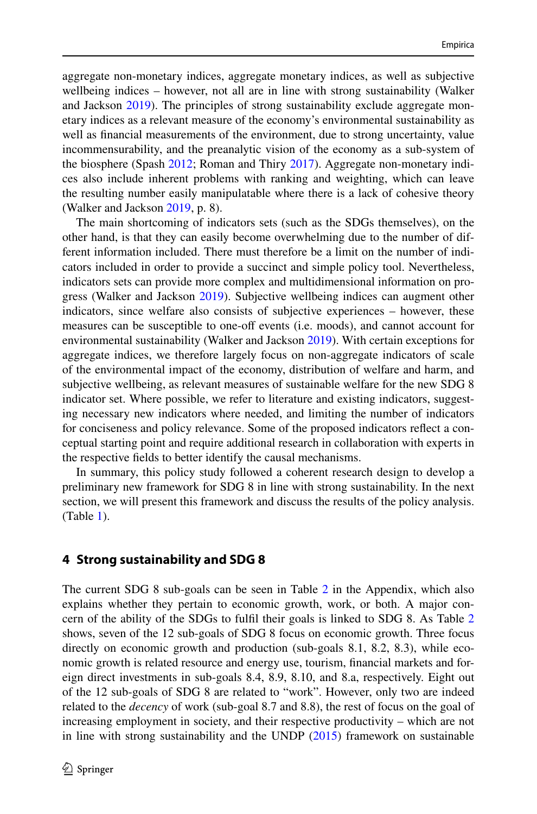aggregate non-monetary indices, aggregate monetary indices, as well as subjective wellbeing indices – however, not all are in line with strong sustainability (Walker and Jackson [2019](#page-30-5)). The principles of strong sustainability exclude aggregate monetary indices as a relevant measure of the economy's environmental sustainability as well as fnancial measurements of the environment, due to strong uncertainty, value incommensurability, and the preanalytic vision of the economy as a sub-system of the biosphere (Spash [2012;](#page-29-8) Roman and Thiry [2017](#page-29-7)). Aggregate non-monetary indices also include inherent problems with ranking and weighting, which can leave the resulting number easily manipulatable where there is a lack of cohesive theory (Walker and Jackson [2019](#page-30-5), p. 8).

The main shortcoming of indicators sets (such as the SDGs themselves), on the other hand, is that they can easily become overwhelming due to the number of different information included. There must therefore be a limit on the number of indicators included in order to provide a succinct and simple policy tool. Nevertheless, indicators sets can provide more complex and multidimensional information on progress (Walker and Jackson [2019](#page-30-5)). Subjective wellbeing indices can augment other indicators, since welfare also consists of subjective experiences – however, these measures can be susceptible to one-of events (i.e. moods), and cannot account for environmental sustainability (Walker and Jackson [2019\)](#page-30-5). With certain exceptions for aggregate indices, we therefore largely focus on non-aggregate indicators of scale of the environmental impact of the economy, distribution of welfare and harm, and subjective wellbeing, as relevant measures of sustainable welfare for the new SDG 8 indicator set. Where possible, we refer to literature and existing indicators, suggesting necessary new indicators where needed, and limiting the number of indicators for conciseness and policy relevance. Some of the proposed indicators refect a conceptual starting point and require additional research in collaboration with experts in the respective felds to better identify the causal mechanisms.

In summary, this policy study followed a coherent research design to develop a preliminary new framework for SDG 8 in line with strong sustainability. In the next section, we will present this framework and discuss the results of the policy analysis. (Table [1](#page-6-0)).

### <span id="page-5-0"></span>**4 Strong sustainability and SDG 8**

The current SDG 8 sub-goals can be seen in Table [2](#page-23-0) in the Appendix, which also explains whether they pertain to economic growth, work, or both. A major concern of the ability of the SDGs to fulfl their goals is linked to SDG 8. As Table [2](#page-23-0) shows, seven of the 12 sub-goals of SDG 8 focus on economic growth. Three focus directly on economic growth and production (sub-goals 8.1, 8.2, 8.3), while economic growth is related resource and energy use, tourism, fnancial markets and foreign direct investments in sub-goals 8.4, 8.9, 8.10, and 8.a, respectively. Eight out of the 12 sub-goals of SDG 8 are related to "work". However, only two are indeed related to the *decency* of work (sub-goal 8.7 and 8.8), the rest of focus on the goal of increasing employment in society, and their respective productivity – which are not in line with strong sustainability and the UNDP [\(2015](#page-30-2)) framework on sustainable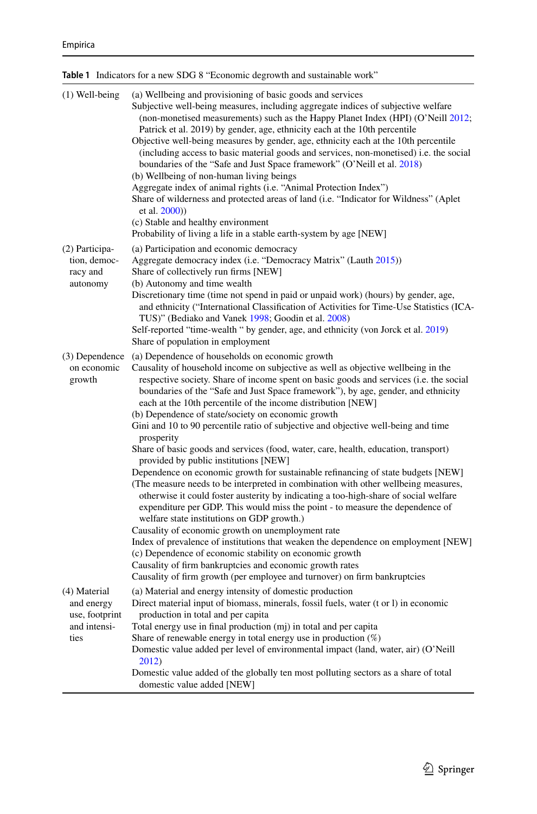<span id="page-6-0"></span>

|                                                                      | <b>Table 1</b> Indicators for a new SDG 8 "Economic degrowth and sustainable work"                                                                                                                                                                                                                                                                                                                                                                                                                                                                                                                                                                                                                                                                                                                                                                                                                                                                                                                                                                                                                                                                                                                                                                                                                                                                                                                                            |
|----------------------------------------------------------------------|-------------------------------------------------------------------------------------------------------------------------------------------------------------------------------------------------------------------------------------------------------------------------------------------------------------------------------------------------------------------------------------------------------------------------------------------------------------------------------------------------------------------------------------------------------------------------------------------------------------------------------------------------------------------------------------------------------------------------------------------------------------------------------------------------------------------------------------------------------------------------------------------------------------------------------------------------------------------------------------------------------------------------------------------------------------------------------------------------------------------------------------------------------------------------------------------------------------------------------------------------------------------------------------------------------------------------------------------------------------------------------------------------------------------------------|
| $(1)$ Well-being                                                     | (a) Wellbeing and provisioning of basic goods and services<br>Subjective well-being measures, including aggregate indices of subjective welfare<br>(non-monetised measurements) such as the Happy Planet Index (HPI) (O'Neill 2012;<br>Patrick et al. 2019) by gender, age, ethnicity each at the 10th percentile<br>Objective well-being measures by gender, age, ethnicity each at the 10th percentile<br>(including access to basic material goods and services, non-monetised) i.e. the social<br>boundaries of the "Safe and Just Space framework" (O'Neill et al. 2018)<br>(b) Wellbeing of non-human living beings<br>Aggregate index of animal rights (i.e. "Animal Protection Index")<br>Share of wilderness and protected areas of land (i.e. "Indicator for Wildness" (Aplet<br>et al. 2000))<br>(c) Stable and healthy environment<br>Probability of living a life in a stable earth-system by age [NEW]                                                                                                                                                                                                                                                                                                                                                                                                                                                                                                          |
| (2) Participa-<br>tion, democ-<br>racy and<br>autonomy               | (a) Participation and economic democracy<br>Aggregate democracy index (i.e. "Democracy Matrix" (Lauth 2015))<br>Share of collectively run firms [NEW]<br>(b) Autonomy and time wealth<br>Discretionary time (time not spend in paid or unpaid work) (hours) by gender, age,<br>and ethnicity ("International Classification of Activities for Time-Use Statistics (ICA-<br>TUS)" (Bediako and Vanek 1998; Goodin et al. 2008)<br>Self-reported "time-wealth " by gender, age, and ethnicity (von Jorck et al. 2019)<br>Share of population in employment                                                                                                                                                                                                                                                                                                                                                                                                                                                                                                                                                                                                                                                                                                                                                                                                                                                                      |
| (3) Dependence<br>on economic<br>growth                              | (a) Dependence of households on economic growth<br>Causality of household income on subjective as well as objective wellbeing in the<br>respective society. Share of income spent on basic goods and services (i.e. the social<br>boundaries of the "Safe and Just Space framework"), by age, gender, and ethnicity<br>each at the 10th percentile of the income distribution [NEW]<br>(b) Dependence of state/society on economic growth<br>Gini and 10 to 90 percentile ratio of subjective and objective well-being and time<br>prosperity<br>Share of basic goods and services (food, water, care, health, education, transport)<br>provided by public institutions [NEW]<br>Dependence on economic growth for sustainable refinancing of state budgets [NEW]<br>(The measure needs to be interpreted in combination with other wellbeing measures,<br>otherwise it could foster austerity by indicating a too-high-share of social welfare<br>expenditure per GDP. This would miss the point - to measure the dependence of<br>welfare state institutions on GDP growth.)<br>Causality of economic growth on unemployment rate<br>Index of prevalence of institutions that weaken the dependence on employment [NEW]<br>(c) Dependence of economic stability on economic growth<br>Causality of firm bankruptcies and economic growth rates<br>Causality of firm growth (per employee and turnover) on firm bankruptcies |
| (4) Material<br>and energy<br>use, footprint<br>and intensi-<br>ties | (a) Material and energy intensity of domestic production<br>Direct material input of biomass, minerals, fossil fuels, water (t or 1) in economic<br>production in total and per capita<br>Total energy use in final production (mj) in total and per capita<br>Share of renewable energy in total energy use in production $(\%)$<br>Domestic value added per level of environmental impact (land, water, air) (O'Neill<br>2012)<br>Domestic value added of the globally ten most polluting sectors as a share of total<br>domestic value added [NEW]                                                                                                                                                                                                                                                                                                                                                                                                                                                                                                                                                                                                                                                                                                                                                                                                                                                                         |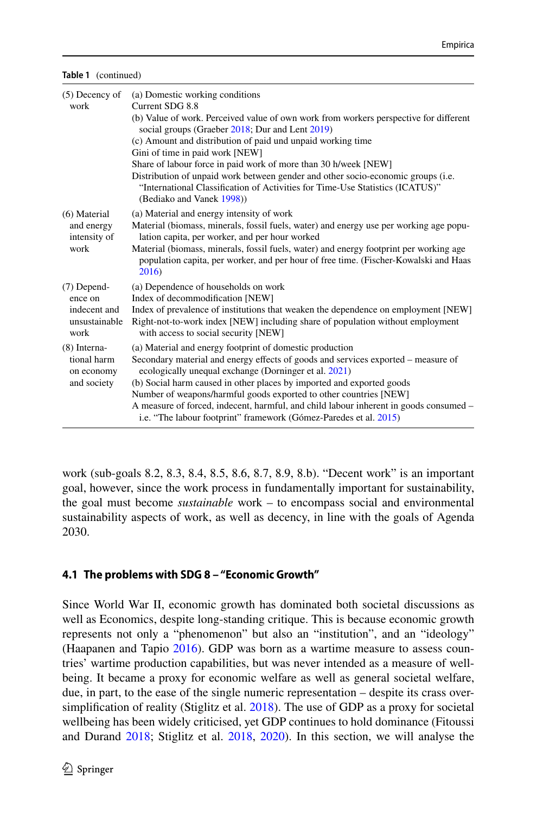| Table 1 (continued) |
|---------------------|
|                     |

| $(5)$ Decency of<br>work                                          | (a) Domestic working conditions<br>Current SDG 8.8<br>(b) Value of work. Perceived value of own work from workers perspective for different<br>social groups (Graeber 2018; Dur and Lent 2019)<br>(c) Amount and distribution of paid und unpaid working time<br>Gini of time in paid work [NEW]<br>Share of labour force in paid work of more than 30 h/week [NEW]<br>Distribution of unpaid work between gender and other socio-economic groups (i.e.<br>"International Classification of Activities for Time-Use Statistics (ICATUS)"<br>(Bediako and Vanek 1998)) |
|-------------------------------------------------------------------|-----------------------------------------------------------------------------------------------------------------------------------------------------------------------------------------------------------------------------------------------------------------------------------------------------------------------------------------------------------------------------------------------------------------------------------------------------------------------------------------------------------------------------------------------------------------------|
| $(6)$ Material<br>and energy<br>intensity of<br>work              | (a) Material and energy intensity of work<br>Material (biomass, minerals, fossil fuels, water) and energy use per working age popu-<br>lation capita, per worker, and per hour worked<br>Material (biomass, minerals, fossil fuels, water) and energy footprint per working age<br>population capita, per worker, and per hour of free time. (Fischer-Kowalski and Haas<br>2016)                                                                                                                                                                                      |
| $(7)$ Depend-<br>ence on<br>indecent and<br>unsustainable<br>work | (a) Dependence of households on work<br>Index of decommodification [NEW]<br>Index of prevalence of institutions that weaken the dependence on employment [NEW]<br>Right-not-to-work index [NEW] including share of population without employment<br>with access to social security [NEW]                                                                                                                                                                                                                                                                              |
| $(8)$ Interna-<br>tional harm<br>on economy<br>and society        | (a) Material and energy footprint of domestic production<br>Secondary material and energy effects of goods and services exported – measure of<br>ecologically unequal exchange (Dorninger et al. 2021)<br>(b) Social harm caused in other places by imported and exported goods<br>Number of weapons/harmful goods exported to other countries [NEW]<br>A measure of forced, indecent, harmful, and child labour inherent in goods consumed –<br>i.e. "The labour footprint" framework (Gómez-Paredes et al. 2015)                                                    |

work (sub-goals 8.2, 8.3, 8.4, 8.5, 8.6, 8.7, 8.9, 8.b). "Decent work" is an important goal, however, since the work process in fundamentally important for sustainability, the goal must become *sustainable* work – to encompass social and environmental sustainability aspects of work, as well as decency, in line with the goals of Agenda 2030.

### **4.1 The problems with SDG 8 – "Economic Growth"**

Since World War II, economic growth has dominated both societal discussions as well as Economics, despite long-standing critique. This is because economic growth represents not only a "phenomenon" but also an "institution", and an "ideology" (Haapanen and Tapio [2016\)](#page-27-7). GDP was born as a wartime measure to assess countries' wartime production capabilities, but was never intended as a measure of wellbeing. It became a proxy for economic welfare as well as general societal welfare, due, in part, to the ease of the single numeric representation – despite its crass oversimplifcation of reality (Stiglitz et al. [2018](#page-30-7)). The use of GDP as a proxy for societal wellbeing has been widely criticised, yet GDP continues to hold dominance (Fitoussi and Durand [2018](#page-26-7); Stiglitz et al. [2018,](#page-30-7) [2020](#page-30-8)). In this section, we will analyse the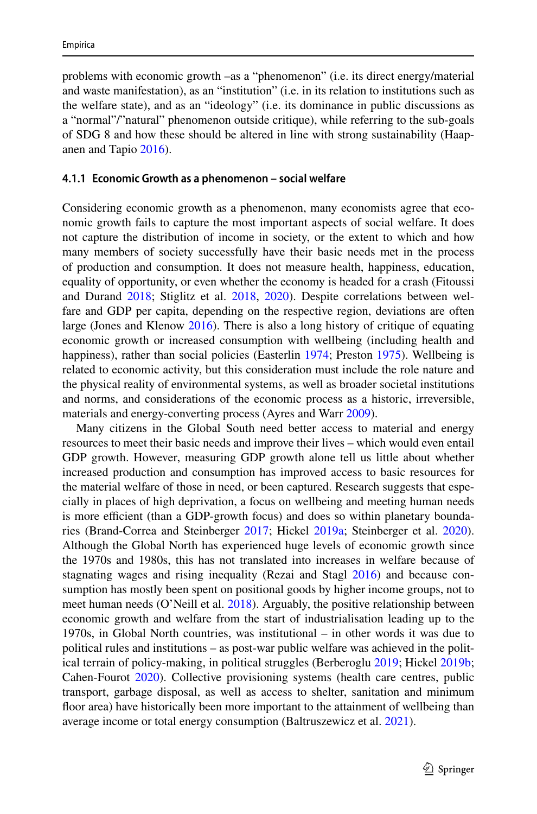problems with economic growth –as a "phenomenon" (i.e. its direct energy/material and waste manifestation), as an "institution" (i.e. in its relation to institutions such as the welfare state), and as an "ideology" (i.e. its dominance in public discussions as a "normal"/"natural" phenomenon outside critique), while referring to the sub-goals of SDG 8 and how these should be altered in line with strong sustainability (Haapanen and Tapio [2016\)](#page-27-7).

#### **4.1.1 Economic Growth as a phenomenon – social welfare**

Considering economic growth as a phenomenon, many economists agree that economic growth fails to capture the most important aspects of social welfare. It does not capture the distribution of income in society, or the extent to which and how many members of society successfully have their basic needs met in the process of production and consumption. It does not measure health, happiness, education, equality of opportunity, or even whether the economy is headed for a crash (Fitoussi and Durand [2018](#page-26-7); Stiglitz et al. [2018,](#page-30-7) [2020\)](#page-30-8). Despite correlations between welfare and GDP per capita, depending on the respective region, deviations are often large (Jones and Klenow [2016](#page-28-6)). There is also a long history of critique of equating economic growth or increased consumption with wellbeing (including health and happiness), rather than social policies (Easterlin [1974](#page-26-11); Preston [1975](#page-29-11)). Wellbeing is related to economic activity, but this consideration must include the role nature and the physical reality of environmental systems, as well as broader societal institutions and norms, and considerations of the economic process as a historic, irreversible, materials and energy-converting process (Ayres and Warr [2009\)](#page-25-8).

Many citizens in the Global South need better access to material and energy resources to meet their basic needs and improve their lives – which would even entail GDP growth. However, measuring GDP growth alone tell us little about whether increased production and consumption has improved access to basic resources for the material welfare of those in need, or been captured. Research suggests that especially in places of high deprivation, a focus on wellbeing and meeting human needs is more efficient (than a GDP-growth focus) and does so within planetary boundaries (Brand-Correa and Steinberger [2017](#page-26-12); Hickel [2019a](#page-27-1); Steinberger et al. [2020\)](#page-30-9). Although the Global North has experienced huge levels of economic growth since the 1970s and 1980s, this has not translated into increases in welfare because of stagnating wages and rising inequality (Rezai and Stagl [2016\)](#page-29-12) and because consumption has mostly been spent on positional goods by higher income groups, not to meet human needs (O'Neill et al. [2018](#page-29-10)). Arguably, the positive relationship between economic growth and welfare from the start of industrialisation leading up to the 1970s, in Global North countries, was institutional – in other words it was due to political rules and institutions – as post-war public welfare was achieved in the political terrain of policy-making, in political struggles (Berberoglu [2019](#page-25-9); Hickel [2019b;](#page-27-10) Cahen-Fourot [2020\)](#page-26-13). Collective provisioning systems (health care centres, public transport, garbage disposal, as well as access to shelter, sanitation and minimum foor area) have historically been more important to the attainment of wellbeing than average income or total energy consumption (Baltruszewicz et al. [2021\)](#page-25-10).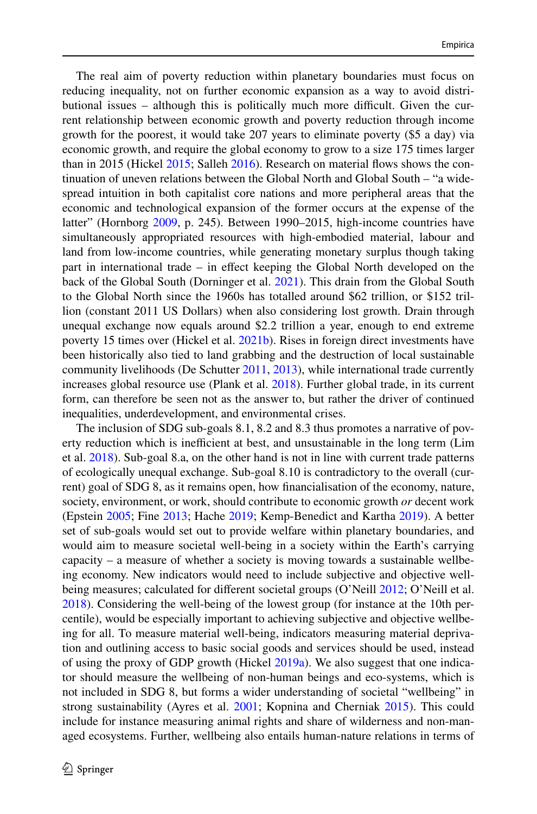The real aim of poverty reduction within planetary boundaries must focus on reducing inequality, not on further economic expansion as a way to avoid distributional issues  $-$  although this is politically much more difficult. Given the current relationship between economic growth and poverty reduction through income growth for the poorest, it would take 207 years to eliminate poverty (\$5 a day) via economic growth, and require the global economy to grow to a size 175 times larger than in 2015 (Hickel [2015](#page-27-11); Salleh [2016](#page-29-0)). Research on material fows shows the continuation of uneven relations between the Global North and Global South – "a widespread intuition in both capitalist core nations and more peripheral areas that the economic and technological expansion of the former occurs at the expense of the latter" (Hornborg [2009](#page-28-7), p. 245). Between 1990–2015, high-income countries have simultaneously appropriated resources with high-embodied material, labour and land from low-income countries, while generating monetary surplus though taking part in international trade – in efect keeping the Global North developed on the back of the Global South (Dorninger et al. [2021\)](#page-26-10). This drain from the Global South to the Global North since the 1960s has totalled around \$62 trillion, or \$152 trillion (constant 2011 US Dollars) when also considering lost growth. Drain through unequal exchange now equals around \$2.2 trillion a year, enough to end extreme poverty 15 times over (Hickel et al. [2021b](#page-27-12)). Rises in foreign direct investments have been historically also tied to land grabbing and the destruction of local sustainable community livelihoods (De Schutter [2011,](#page-26-14) [2013\)](#page-26-15), while international trade currently increases global resource use (Plank et al. [2018\)](#page-29-13). Further global trade, in its current form, can therefore be seen not as the answer to, but rather the driver of continued inequalities, underdevelopment, and environmental crises.

The inclusion of SDG sub-goals 8.1, 8.2 and 8.3 thus promotes a narrative of poverty reduction which is inefficient at best, and unsustainable in the long term (Lim et al. [2018](#page-28-0)). Sub-goal 8.a, on the other hand is not in line with current trade patterns of ecologically unequal exchange. Sub-goal 8.10 is contradictory to the overall (current) goal of SDG 8, as it remains open, how fnancialisation of the economy, nature, society, environment, or work, should contribute to economic growth *or* decent work (Epstein [2005](#page-26-16); Fine [2013](#page-26-17); Hache [2019](#page-27-13); Kemp-Benedict and Kartha [2019\)](#page-28-8). A better set of sub-goals would set out to provide welfare within planetary boundaries, and would aim to measure societal well-being in a society within the Earth's carrying capacity – a measure of whether a society is moving towards a sustainable wellbeing economy. New indicators would need to include subjective and objective well-being measures; calculated for different societal groups (O'Neill [2012;](#page-29-9) O'Neill et al. [2018](#page-29-10)). Considering the well-being of the lowest group (for instance at the 10th percentile), would be especially important to achieving subjective and objective wellbeing for all. To measure material well-being, indicators measuring material deprivation and outlining access to basic social goods and services should be used, instead of using the proxy of GDP growth (Hickel [2019a](#page-27-1)). We also suggest that one indicator should measure the wellbeing of non-human beings and eco-systems, which is not included in SDG 8, but forms a wider understanding of societal "wellbeing" in strong sustainability (Ayres et al. [2001](#page-25-1); Kopnina and Cherniak [2015\)](#page-28-9). This could include for instance measuring animal rights and share of wilderness and non-managed ecosystems. Further, wellbeing also entails human-nature relations in terms of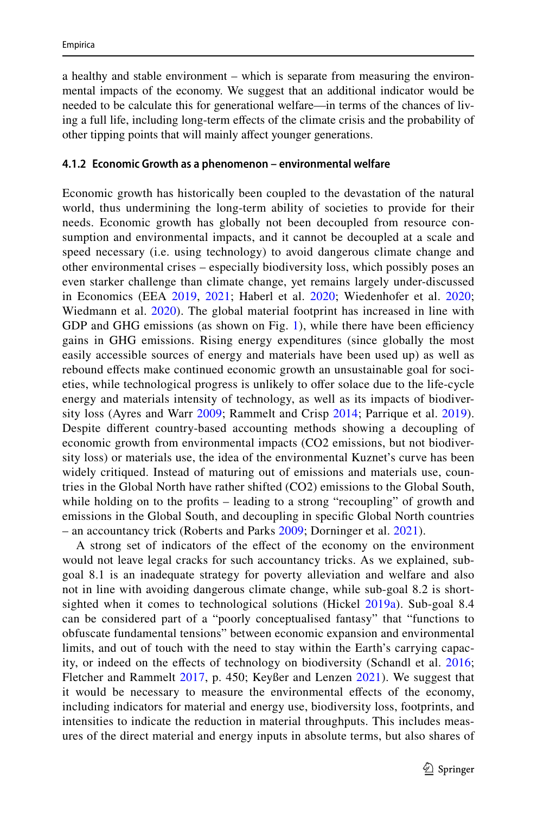a healthy and stable environment – which is separate from measuring the environmental impacts of the economy. We suggest that an additional indicator would be needed to be calculate this for generational welfare—in terms of the chances of living a full life, including long-term efects of the climate crisis and the probability of other tipping points that will mainly afect younger generations.

#### **4.1.2 Economic Growth as a phenomenon – environmental welfare**

Economic growth has historically been coupled to the devastation of the natural world, thus undermining the long-term ability of societies to provide for their needs. Economic growth has globally not been decoupled from resource consumption and environmental impacts, and it cannot be decoupled at a scale and speed necessary (i.e. using technology) to avoid dangerous climate change and other environmental crises – especially biodiversity loss, which possibly poses an even starker challenge than climate change, yet remains largely under-discussed in Economics (EEA [2019](#page-26-18), [2021;](#page-26-19) Haberl et al. [2020](#page-27-2); Wiedenhofer et al. [2020;](#page-30-1) Wiedmann et al. [2020](#page-30-3)). The global material footprint has increased in line with GDP and GHG emissions (as shown on Fig. [1\)](#page-11-0), while there have been efficiency gains in GHG emissions. Rising energy expenditures (since globally the most easily accessible sources of energy and materials have been used up) as well as rebound effects make continued economic growth an unsustainable goal for societies, while technological progress is unlikely to ofer solace due to the life-cycle energy and materials intensity of technology, as well as its impacts of biodiversity loss (Ayres and Warr [2009;](#page-25-8) Rammelt and Crisp [2014](#page-29-14); Parrique et al. [2019](#page-29-15)). Despite diferent country-based accounting methods showing a decoupling of economic growth from environmental impacts (CO2 emissions, but not biodiversity loss) or materials use, the idea of the environmental Kuznet's curve has been widely critiqued. Instead of maturing out of emissions and materials use, countries in the Global North have rather shifted (CO2) emissions to the Global South, while holding on to the profits – leading to a strong "recoupling" of growth and emissions in the Global South, and decoupling in specifc Global North countries – an accountancy trick (Roberts and Parks [2009;](#page-29-16) Dorninger et al. [2021\)](#page-26-10).

A strong set of indicators of the efect of the economy on the environment would not leave legal cracks for such accountancy tricks. As we explained, subgoal 8.1 is an inadequate strategy for poverty alleviation and welfare and also not in line with avoiding dangerous climate change, while sub-goal 8.2 is short-sighted when it comes to technological solutions (Hickel [2019a](#page-27-1)). Sub-goal 8.4 can be considered part of a "poorly conceptualised fantasy" that "functions to obfuscate fundamental tensions" between economic expansion and environmental limits, and out of touch with the need to stay within the Earth's carrying capac-ity, or indeed on the effects of technology on biodiversity (Schandl et al. [2016;](#page-29-17) Fletcher and Rammelt [2017,](#page-26-20) p. 450; Keyßer and Lenzen [2021](#page-28-2)). We suggest that it would be necessary to measure the environmental efects of the economy, including indicators for material and energy use, biodiversity loss, footprints, and intensities to indicate the reduction in material throughputs. This includes measures of the direct material and energy inputs in absolute terms, but also shares of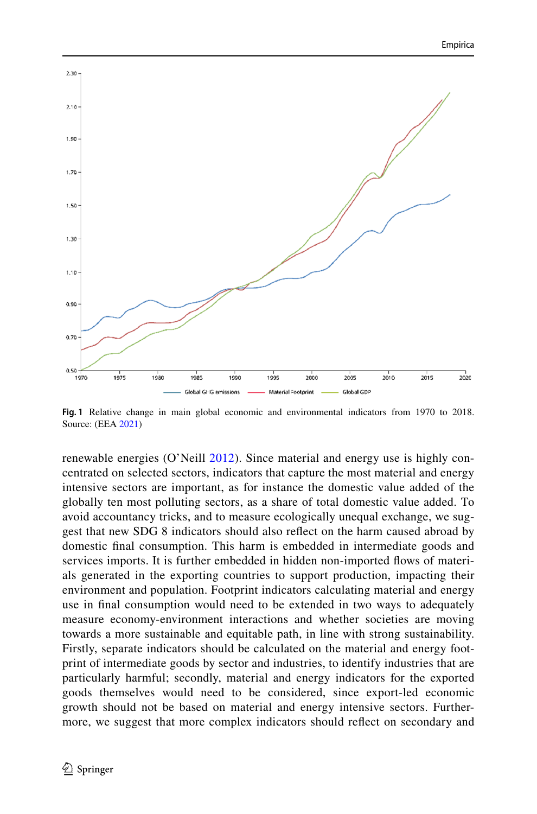

<span id="page-11-0"></span>**Fig. 1** Relative change in main global economic and environmental indicators from 1970 to 2018. Source: (EEA [2021\)](#page-26-19)

renewable energies (O'Neill [2012](#page-29-9)). Since material and energy use is highly concentrated on selected sectors, indicators that capture the most material and energy intensive sectors are important, as for instance the domestic value added of the globally ten most polluting sectors, as a share of total domestic value added. To avoid accountancy tricks, and to measure ecologically unequal exchange, we suggest that new SDG 8 indicators should also refect on the harm caused abroad by domestic fnal consumption. This harm is embedded in intermediate goods and services imports. It is further embedded in hidden non-imported fows of materials generated in the exporting countries to support production, impacting their environment and population. Footprint indicators calculating material and energy use in fnal consumption would need to be extended in two ways to adequately measure economy-environment interactions and whether societies are moving towards a more sustainable and equitable path, in line with strong sustainability. Firstly, separate indicators should be calculated on the material and energy footprint of intermediate goods by sector and industries, to identify industries that are particularly harmful; secondly, material and energy indicators for the exported goods themselves would need to be considered, since export-led economic growth should not be based on material and energy intensive sectors. Furthermore, we suggest that more complex indicators should refect on secondary and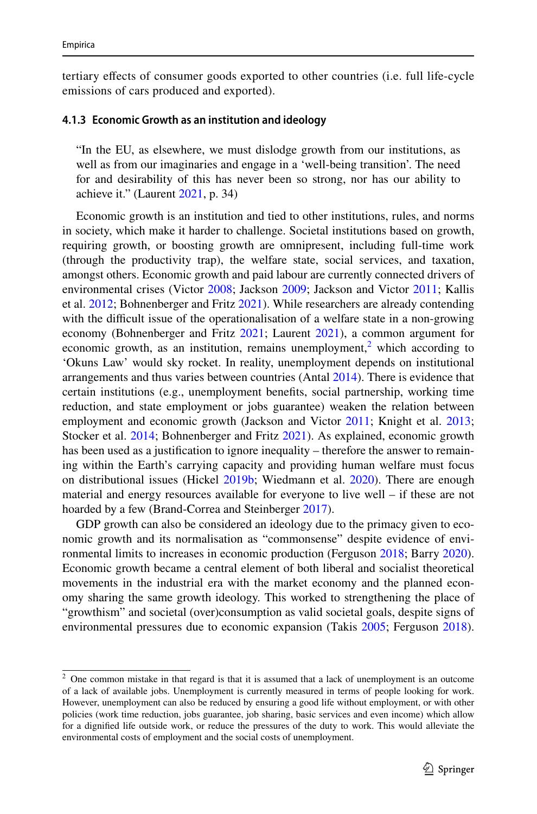tertiary efects of consumer goods exported to other countries (i.e. full life-cycle emissions of cars produced and exported).

### **4.1.3 Economic Growth as an institution and ideology**

"In the EU, as elsewhere, we must dislodge growth from our institutions, as well as from our imaginaries and engage in a 'well-being transition'. The need for and desirability of this has never been so strong, nor has our ability to achieve it." (Laurent [2021](#page-28-10), p. 34)

Economic growth is an institution and tied to other institutions, rules, and norms in society, which make it harder to challenge. Societal institutions based on growth, requiring growth, or boosting growth are omnipresent, including full-time work (through the productivity trap), the welfare state, social services, and taxation, amongst others. Economic growth and paid labour are currently connected drivers of environmental crises (Victor [2008](#page-30-10); Jackson [2009](#page-28-11); Jackson and Victor [2011](#page-28-12); Kallis et al. [2012;](#page-28-13) Bohnenberger and Fritz [2021](#page-26-21)). While researchers are already contending with the difficult issue of the operationalisation of a welfare state in a non-growing economy (Bohnenberger and Fritz [2021;](#page-26-21) Laurent [2021](#page-28-10)), a common argument for economic growth, as an institution, remains unemployment,<sup>[2](#page-12-0)</sup> which according to 'Okuns Law' would sky rocket. In reality, unemployment depends on institutional arrangements and thus varies between countries (Antal [2014](#page-25-11)). There is evidence that certain institutions (e.g., unemployment benefts, social partnership, working time reduction, and state employment or jobs guarantee) weaken the relation between employment and economic growth (Jackson and Victor [2011](#page-28-12); Knight et al. [2013;](#page-28-14) Stocker et al. [2014;](#page-30-11) Bohnenberger and Fritz [2021](#page-26-21)). As explained, economic growth has been used as a justifcation to ignore inequality – therefore the answer to remaining within the Earth's carrying capacity and providing human welfare must focus on distributional issues (Hickel [2019b;](#page-27-10) Wiedmann et al. [2020](#page-30-3)). There are enough material and energy resources available for everyone to live well – if these are not hoarded by a few (Brand-Correa and Steinberger [2017](#page-26-12)).

GDP growth can also be considered an ideology due to the primacy given to economic growth and its normalisation as "commonsense" despite evidence of environmental limits to increases in economic production (Ferguson [2018;](#page-26-22) Barry [2020\)](#page-25-12). Economic growth became a central element of both liberal and socialist theoretical movements in the industrial era with the market economy and the planned economy sharing the same growth ideology. This worked to strengthening the place of "growthism" and societal (over)consumption as valid societal goals, despite signs of environmental pressures due to economic expansion (Takis [2005;](#page-30-12) Ferguson [2018\)](#page-26-22).

<span id="page-12-0"></span> $2$  One common mistake in that regard is that it is assumed that a lack of unemployment is an outcome of a lack of available jobs. Unemployment is currently measured in terms of people looking for work. However, unemployment can also be reduced by ensuring a good life without employment, or with other policies (work time reduction, jobs guarantee, job sharing, basic services and even income) which allow for a dignifed life outside work, or reduce the pressures of the duty to work. This would alleviate the environmental costs of employment and the social costs of unemployment.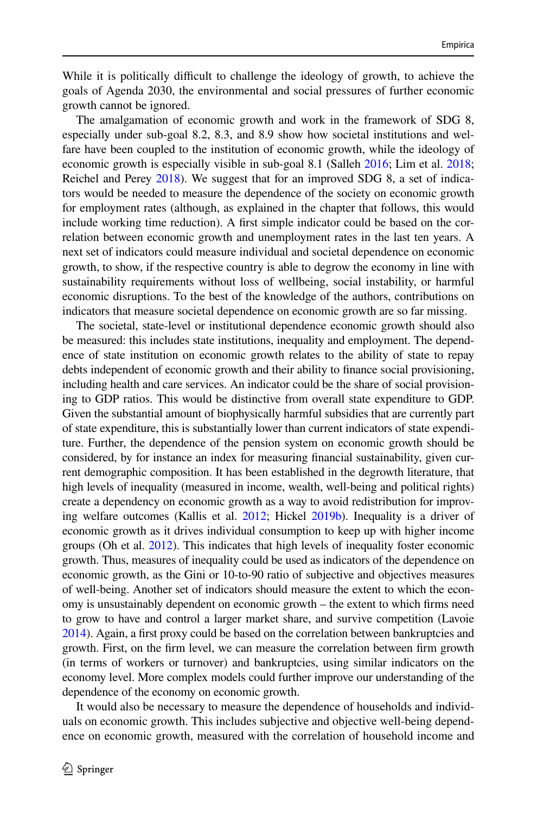While it is politically difficult to challenge the ideology of growth, to achieve the goals of Agenda 2030, the environmental and social pressures of further economic growth cannot be ignored.

The amalgamation of economic growth and work in the framework of SDG 8, especially under sub-goal 8.2, 8.3, and 8.9 show how societal institutions and welfare have been coupled to the institution of economic growth, while the ideology of economic growth is especially visible in sub-goal 8.1 (Salleh [2016](#page-29-0); Lim et al. [2018;](#page-28-0) Reichel and Perey [2018\)](#page-29-18). We suggest that for an improved SDG 8, a set of indicators would be needed to measure the dependence of the society on economic growth for employment rates (although, as explained in the chapter that follows, this would include working time reduction). A frst simple indicator could be based on the correlation between economic growth and unemployment rates in the last ten years. A next set of indicators could measure individual and societal dependence on economic growth, to show, if the respective country is able to degrow the economy in line with sustainability requirements without loss of wellbeing, social instability, or harmful economic disruptions. To the best of the knowledge of the authors, contributions on indicators that measure societal dependence on economic growth are so far missing.

The societal, state-level or institutional dependence economic growth should also be measured: this includes state institutions, inequality and employment. The dependence of state institution on economic growth relates to the ability of state to repay debts independent of economic growth and their ability to fnance social provisioning, including health and care services. An indicator could be the share of social provisioning to GDP ratios. This would be distinctive from overall state expenditure to GDP. Given the substantial amount of biophysically harmful subsidies that are currently part of state expenditure, this is substantially lower than current indicators of state expenditure. Further, the dependence of the pension system on economic growth should be considered, by for instance an index for measuring fnancial sustainability, given current demographic composition. It has been established in the degrowth literature, that high levels of inequality (measured in income, wealth, well-being and political rights) create a dependency on economic growth as a way to avoid redistribution for improving welfare outcomes (Kallis et al. [2012](#page-28-13); Hickel [2019b\)](#page-27-10). Inequality is a driver of economic growth as it drives individual consumption to keep up with higher income groups (Oh et al. [2012](#page-29-19)). This indicates that high levels of inequality foster economic growth. Thus, measures of inequality could be used as indicators of the dependence on economic growth, as the Gini or 10-to-90 ratio of subjective and objectives measures of well-being. Another set of indicators should measure the extent to which the economy is unsustainably dependent on economic growth – the extent to which frms need to grow to have and control a larger market share, and survive competition (Lavoie [2014\)](#page-28-15). Again, a frst proxy could be based on the correlation between bankruptcies and growth. First, on the frm level, we can measure the correlation between frm growth (in terms of workers or turnover) and bankruptcies, using similar indicators on the economy level. More complex models could further improve our understanding of the dependence of the economy on economic growth.

It would also be necessary to measure the dependence of households and individuals on economic growth. This includes subjective and objective well-being dependence on economic growth, measured with the correlation of household income and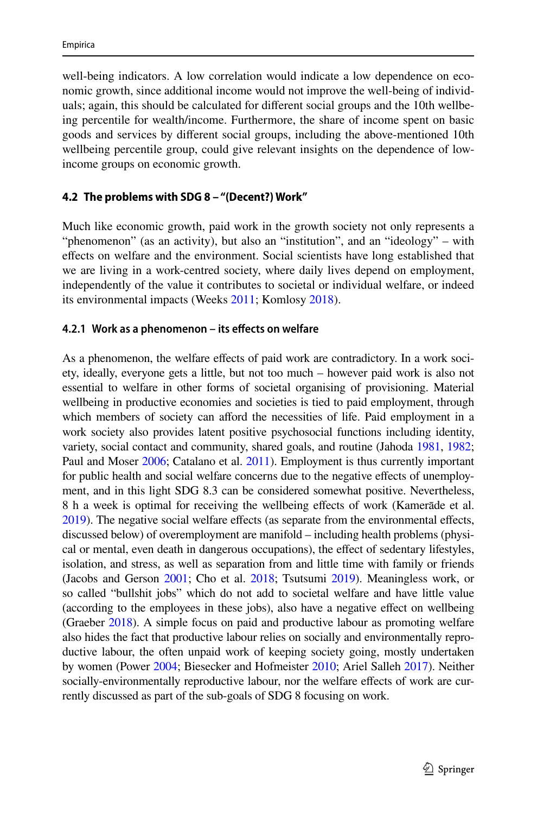well-being indicators. A low correlation would indicate a low dependence on economic growth, since additional income would not improve the well-being of individuals; again, this should be calculated for diferent social groups and the 10th wellbeing percentile for wealth/income. Furthermore, the share of income spent on basic goods and services by diferent social groups, including the above-mentioned 10th wellbeing percentile group, could give relevant insights on the dependence of lowincome groups on economic growth.

### **4.2 The problems with SDG 8 – "(Decent?) Work"**

Much like economic growth, paid work in the growth society not only represents a "phenomenon" (as an activity), but also an "institution", and an "ideology" – with efects on welfare and the environment. Social scientists have long established that we are living in a work-centred society, where daily lives depend on employment, independently of the value it contributes to societal or individual welfare, or indeed its environmental impacts (Weeks [2011](#page-30-13); Komlosy [2018](#page-28-16)).

### **4.2.1 Work as a phenomenon – its efects on welfare**

As a phenomenon, the welfare efects of paid work are contradictory. In a work society, ideally, everyone gets a little, but not too much – however paid work is also not essential to welfare in other forms of societal organising of provisioning. Material wellbeing in productive economies and societies is tied to paid employment, through which members of society can afford the necessities of life. Paid employment in a work society also provides latent positive psychosocial functions including identity, variety, social contact and community, shared goals, and routine (Jahoda [1981,](#page-28-17) [1982;](#page-28-18) Paul and Moser [2006;](#page-29-20) Catalano et al. [2011](#page-26-23)). Employment is thus currently important for public health and social welfare concerns due to the negative efects of unemployment, and in this light SDG 8.3 can be considered somewhat positive. Nevertheless, 8 h a week is optimal for receiving the wellbeing efects of work (Kamerāde et al. [2019\)](#page-28-19). The negative social welfare efects (as separate from the environmental efects, discussed below) of overemployment are manifold – including health problems (physical or mental, even death in dangerous occupations), the efect of sedentary lifestyles, isolation, and stress, as well as separation from and little time with family or friends (Jacobs and Gerson [2001;](#page-28-20) Cho et al. [2018;](#page-26-24) Tsutsumi [2019\)](#page-30-14). Meaningless work, or so called "bullshit jobs" which do not add to societal welfare and have little value (according to the employees in these jobs), also have a negative efect on wellbeing (Graeber [2018\)](#page-27-8). A simple focus on paid and productive labour as promoting welfare also hides the fact that productive labour relies on socially and environmentally reproductive labour, the often unpaid work of keeping society going, mostly undertaken by women (Power [2004](#page-29-21); Biesecker and Hofmeister [2010](#page-25-13); Ariel Salleh [2017\)](#page-29-22). Neither socially-environmentally reproductive labour, nor the welfare efects of work are currently discussed as part of the sub-goals of SDG 8 focusing on work.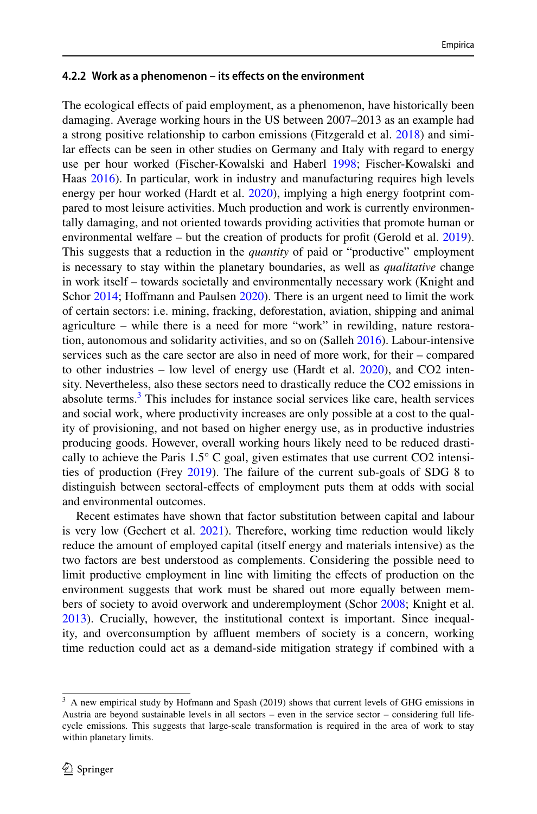#### **4.2.2 Work as a phenomenon – its efects on the environment**

The ecological efects of paid employment, as a phenomenon, have historically been damaging. Average working hours in the US between 2007–2013 as an example had a strong positive relationship to carbon emissions (Fitzgerald et al. [2018\)](#page-26-25) and similar efects can be seen in other studies on Germany and Italy with regard to energy use per hour worked (Fischer-Kowalski and Haberl [1998;](#page-26-26) Fischer-Kowalski and Haas [2016](#page-26-9)). In particular, work in industry and manufacturing requires high levels energy per hour worked (Hardt et al. [2020](#page-27-14)), implying a high energy footprint compared to most leisure activities. Much production and work is currently environmentally damaging, and not oriented towards providing activities that promote human or environmental welfare – but the creation of products for proft (Gerold et al. [2019\)](#page-27-15). This suggests that a reduction in the *quantity* of paid or "productive" employment is necessary to stay within the planetary boundaries, as well as *qualitative* change in work itself – towards societally and environmentally necessary work (Knight and Schor [2014;](#page-28-21) Hoffmann and Paulsen [2020](#page-27-16)). There is an urgent need to limit the work of certain sectors: i.e. mining, fracking, deforestation, aviation, shipping and animal agriculture – while there is a need for more "work" in rewilding, nature restoration, autonomous and solidarity activities, and so on (Salleh [2016](#page-29-0)). Labour-intensive services such as the care sector are also in need of more work, for their – compared to other industries – low level of energy use (Hardt et al.  $2020$ ), and CO2 intensity. Nevertheless, also these sectors need to drastically reduce the CO2 emissions in absolute terms. $3$  This includes for instance social services like care, health services and social work, where productivity increases are only possible at a cost to the quality of provisioning, and not based on higher energy use, as in productive industries producing goods. However, overall working hours likely need to be reduced drastically to achieve the Paris  $1.5^{\circ}$  C goal, given estimates that use current CO2 intensities of production (Frey [2019\)](#page-27-17). The failure of the current sub-goals of SDG 8 to distinguish between sectoral-efects of employment puts them at odds with social and environmental outcomes.

Recent estimates have shown that factor substitution between capital and labour is very low (Gechert et al. [2021\)](#page-27-18). Therefore, working time reduction would likely reduce the amount of employed capital (itself energy and materials intensive) as the two factors are best understood as complements. Considering the possible need to limit productive employment in line with limiting the efects of production on the environment suggests that work must be shared out more equally between mem-bers of society to avoid overwork and underemployment (Schor [2008;](#page-29-23) Knight et al. [2013](#page-28-14)). Crucially, however, the institutional context is important. Since inequality, and overconsumption by affluent members of society is a concern, working time reduction could act as a demand-side mitigation strategy if combined with a

<span id="page-15-0"></span> $3$  A new empirical study by Hofmann and Spash (2019) shows that current levels of GHG emissions in Austria are beyond sustainable levels in all sectors – even in the service sector – considering full lifecycle emissions. This suggests that large-scale transformation is required in the area of work to stay within planetary limits.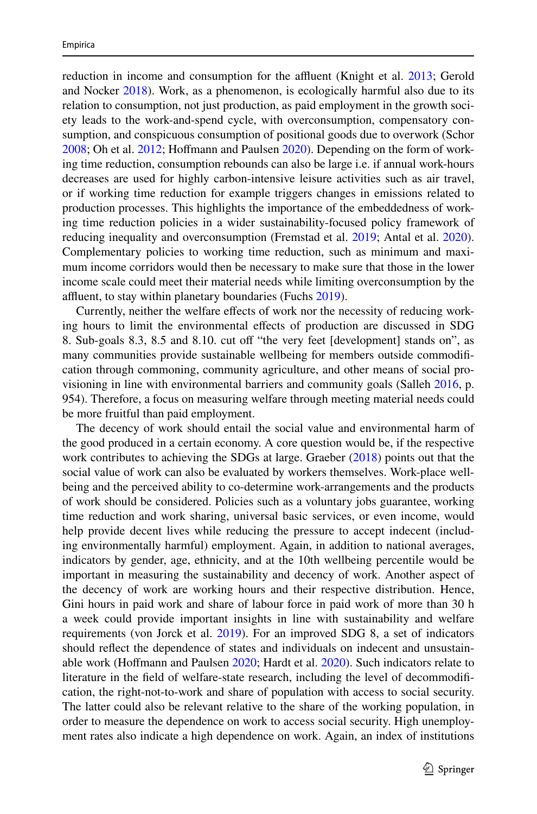reduction in income and consumption for the affluent (Knight et al. [2013](#page-28-14); Gerold and Nocker [2018\)](#page-27-19). Work, as a phenomenon, is ecologically harmful also due to its relation to consumption, not just production, as paid employment in the growth society leads to the work-and-spend cycle, with overconsumption, compensatory consumption, and conspicuous consumption of positional goods due to overwork (Schor [2008](#page-29-23); Oh et al. [2012;](#page-29-19) Hofmann and Paulsen [2020](#page-27-16)). Depending on the form of working time reduction, consumption rebounds can also be large i.e. if annual work-hours decreases are used for highly carbon-intensive leisure activities such as air travel, or if working time reduction for example triggers changes in emissions related to production processes. This highlights the importance of the embeddedness of working time reduction policies in a wider sustainability-focused policy framework of reducing inequality and overconsumption (Fremstad et al. [2019](#page-27-20); Antal et al. [2020\)](#page-25-14). Complementary policies to working time reduction, such as minimum and maximum income corridors would then be necessary to make sure that those in the lower income scale could meet their material needs while limiting overconsumption by the affluent, to stay within planetary boundaries (Fuchs [2019\)](#page-27-21).

Currently, neither the welfare efects of work nor the necessity of reducing working hours to limit the environmental efects of production are discussed in SDG 8. Sub-goals 8.3, 8.5 and 8.10. cut of "the very feet [development] stands on", as many communities provide sustainable wellbeing for members outside commodifcation through commoning, community agriculture, and other means of social provisioning in line with environmental barriers and community goals (Salleh [2016](#page-29-0), p. 954). Therefore, a focus on measuring welfare through meeting material needs could be more fruitful than paid employment.

The decency of work should entail the social value and environmental harm of the good produced in a certain economy. A core question would be, if the respective work contributes to achieving the SDGs at large. Graeber [\(2018](#page-27-8)) points out that the social value of work can also be evaluated by workers themselves. Work-place wellbeing and the perceived ability to co-determine work-arrangements and the products of work should be considered. Policies such as a voluntary jobs guarantee, working time reduction and work sharing, universal basic services, or even income, would help provide decent lives while reducing the pressure to accept indecent (including environmentally harmful) employment. Again, in addition to national averages, indicators by gender, age, ethnicity, and at the 10th wellbeing percentile would be important in measuring the sustainability and decency of work. Another aspect of the decency of work are working hours and their respective distribution. Hence, Gini hours in paid work and share of labour force in paid work of more than 30 h a week could provide important insights in line with sustainability and welfare requirements (von Jorck et al. [2019\)](#page-30-6). For an improved SDG 8, a set of indicators should refect the dependence of states and individuals on indecent and unsustainable work (Hofmann and Paulsen [2020](#page-27-16); Hardt et al. [2020\)](#page-27-14). Such indicators relate to literature in the feld of welfare-state research, including the level of decommodifcation, the right-not-to-work and share of population with access to social security. The latter could also be relevant relative to the share of the working population, in order to measure the dependence on work to access social security. High unemployment rates also indicate a high dependence on work. Again, an index of institutions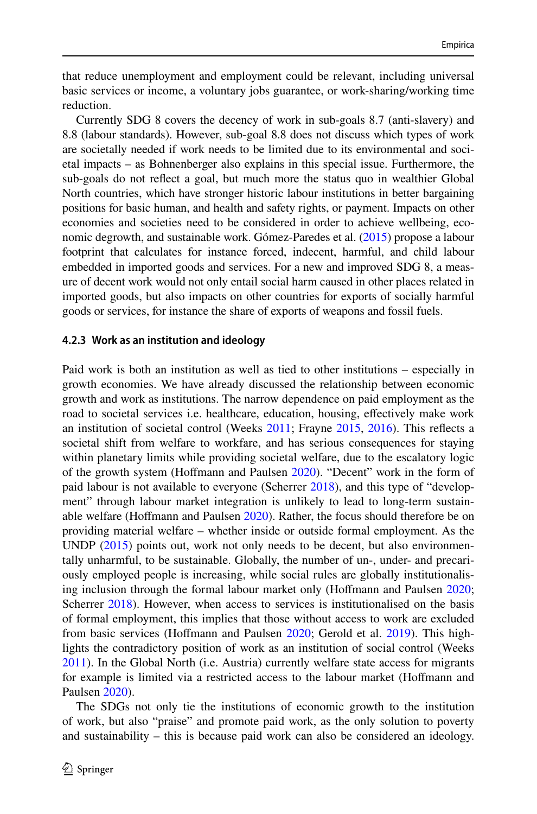that reduce unemployment and employment could be relevant, including universal basic services or income, a voluntary jobs guarantee, or work-sharing/working time reduction.

Currently SDG 8 covers the decency of work in sub-goals 8.7 (anti-slavery) and 8.8 (labour standards). However, sub-goal 8.8 does not discuss which types of work are societally needed if work needs to be limited due to its environmental and societal impacts – as Bohnenberger also explains in this special issue. Furthermore, the sub-goals do not refect a goal, but much more the status quo in wealthier Global North countries, which have stronger historic labour institutions in better bargaining positions for basic human, and health and safety rights, or payment. Impacts on other economies and societies need to be considered in order to achieve wellbeing, economic degrowth, and sustainable work. Gómez-Paredes et al. [\(2015](#page-27-9)) propose a labour footprint that calculates for instance forced, indecent, harmful, and child labour embedded in imported goods and services. For a new and improved SDG 8, a measure of decent work would not only entail social harm caused in other places related in imported goods, but also impacts on other countries for exports of socially harmful goods or services, for instance the share of exports of weapons and fossil fuels.

#### **4.2.3 Work as an institution and ideology**

Paid work is both an institution as well as tied to other institutions – especially in growth economies. We have already discussed the relationship between economic growth and work as institutions. The narrow dependence on paid employment as the road to societal services i.e. healthcare, education, housing, efectively make work an institution of societal control (Weeks [2011](#page-30-13); Frayne [2015](#page-27-22), [2016](#page-27-23)). This refects a societal shift from welfare to workfare, and has serious consequences for staying within planetary limits while providing societal welfare, due to the escalatory logic of the growth system (Hofmann and Paulsen [2020\)](#page-27-16). "Decent" work in the form of paid labour is not available to everyone (Scherrer [2018](#page-29-24)), and this type of "development" through labour market integration is unlikely to lead to long-term sustainable welfare (Hofmann and Paulsen [2020\)](#page-27-16). Rather, the focus should therefore be on providing material welfare – whether inside or outside formal employment. As the UNDP [\(2015](#page-30-2)) points out, work not only needs to be decent, but also environmentally unharmful, to be sustainable. Globally, the number of un-, under- and precariously employed people is increasing, while social rules are globally institutionalising inclusion through the formal labour market only (Hofmann and Paulsen [2020;](#page-27-16) Scherrer [2018\)](#page-29-24). However, when access to services is institutionalised on the basis of formal employment, this implies that those without access to work are excluded from basic services (Hofmann and Paulsen [2020](#page-27-16); Gerold et al. [2019](#page-27-15)). This highlights the contradictory position of work as an institution of social control (Weeks [2011](#page-30-13)). In the Global North (i.e. Austria) currently welfare state access for migrants for example is limited via a restricted access to the labour market (Hofmann and Paulsen [2020\)](#page-27-16).

The SDGs not only tie the institutions of economic growth to the institution of work, but also "praise" and promote paid work, as the only solution to poverty and sustainability – this is because paid work can also be considered an ideology.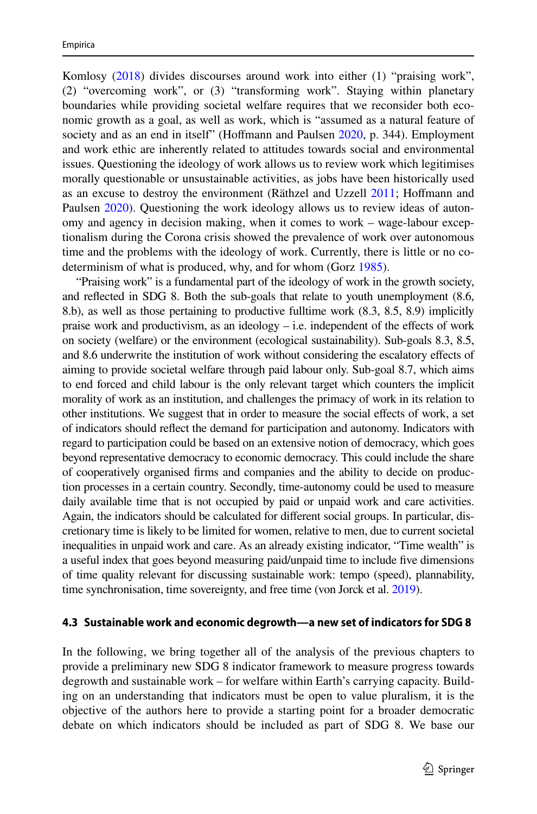Komlosy [\(2018](#page-28-16)) divides discourses around work into either (1) "praising work", (2) "overcoming work", or (3) "transforming work". Staying within planetary boundaries while providing societal welfare requires that we reconsider both economic growth as a goal, as well as work, which is "assumed as a natural feature of society and as an end in itself" (Hoffmann and Paulsen [2020](#page-27-16), p. 344). Employment and work ethic are inherently related to attitudes towards social and environmental issues. Questioning the ideology of work allows us to review work which legitimises morally questionable or unsustainable activities, as jobs have been historically used as an excuse to destroy the environment (Räthzel and Uzzell [2011;](#page-29-25) Hofmann and Paulsen [2020](#page-27-16)). Questioning the work ideology allows us to review ideas of autonomy and agency in decision making, when it comes to work – wage-labour exceptionalism during the Corona crisis showed the prevalence of work over autonomous time and the problems with the ideology of work. Currently, there is little or no codeterminism of what is produced, why, and for whom (Gorz [1985](#page-27-24)).

"Praising work" is a fundamental part of the ideology of work in the growth society, and refected in SDG 8. Both the sub-goals that relate to youth unemployment (8.6, 8.b), as well as those pertaining to productive fulltime work (8.3, 8.5, 8.9) implicitly praise work and productivism, as an ideology  $-$  i.e. independent of the effects of work on society (welfare) or the environment (ecological sustainability). Sub-goals 8.3, 8.5, and 8.6 underwrite the institution of work without considering the escalatory efects of aiming to provide societal welfare through paid labour only. Sub-goal 8.7, which aims to end forced and child labour is the only relevant target which counters the implicit morality of work as an institution, and challenges the primacy of work in its relation to other institutions. We suggest that in order to measure the social efects of work, a set of indicators should refect the demand for participation and autonomy. Indicators with regard to participation could be based on an extensive notion of democracy, which goes beyond representative democracy to economic democracy. This could include the share of cooperatively organised frms and companies and the ability to decide on production processes in a certain country. Secondly, time-autonomy could be used to measure daily available time that is not occupied by paid or unpaid work and care activities. Again, the indicators should be calculated for diferent social groups. In particular, discretionary time is likely to be limited for women, relative to men, due to current societal inequalities in unpaid work and care. As an already existing indicator, "Time wealth" is a useful index that goes beyond measuring paid/unpaid time to include fve dimensions of time quality relevant for discussing sustainable work: tempo (speed), plannability, time synchronisation, time sovereignty, and free time (von Jorck et al. [2019](#page-30-6)).

### **4.3 Sustainable work and economic degrowth—a new set of indicators for SDG 8**

In the following, we bring together all of the analysis of the previous chapters to provide a preliminary new SDG 8 indicator framework to measure progress towards degrowth and sustainable work – for welfare within Earth's carrying capacity. Building on an understanding that indicators must be open to value pluralism, it is the objective of the authors here to provide a starting point for a broader democratic debate on which indicators should be included as part of SDG 8. We base our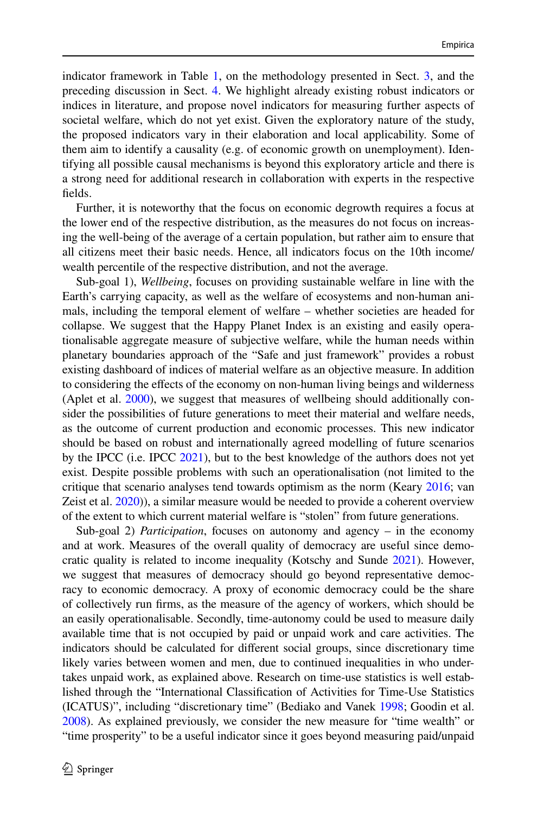indicator framework in Table [1](#page-6-0), on the methodology presented in Sect. [3](#page-3-0), and the preceding discussion in Sect. [4.](#page-5-0) We highlight already existing robust indicators or indices in literature, and propose novel indicators for measuring further aspects of societal welfare, which do not yet exist. Given the exploratory nature of the study, the proposed indicators vary in their elaboration and local applicability. Some of them aim to identify a causality (e.g. of economic growth on unemployment). Identifying all possible causal mechanisms is beyond this exploratory article and there is a strong need for additional research in collaboration with experts in the respective felds.

Further, it is noteworthy that the focus on economic degrowth requires a focus at the lower end of the respective distribution, as the measures do not focus on increasing the well-being of the average of a certain population, but rather aim to ensure that all citizens meet their basic needs. Hence, all indicators focus on the 10th income/ wealth percentile of the respective distribution, and not the average.

Sub-goal 1), *Wellbeing*, focuses on providing sustainable welfare in line with the Earth's carrying capacity, as well as the welfare of ecosystems and non-human animals, including the temporal element of welfare – whether societies are headed for collapse. We suggest that the Happy Planet Index is an existing and easily operationalisable aggregate measure of subjective welfare, while the human needs within planetary boundaries approach of the "Safe and just framework" provides a robust existing dashboard of indices of material welfare as an objective measure. In addition to considering the efects of the economy on non-human living beings and wilderness (Aplet et al. [2000](#page-25-6)), we suggest that measures of wellbeing should additionally consider the possibilities of future generations to meet their material and welfare needs, as the outcome of current production and economic processes. This new indicator should be based on robust and internationally agreed modelling of future scenarios by the IPCC (i.e. IPCC [2021\)](#page-28-4), but to the best knowledge of the authors does not yet exist. Despite possible problems with such an operationalisation (not limited to the critique that scenario analyses tend towards optimism as the norm (Keary [2016;](#page-28-22) van Zeist et al. [2020](#page-30-15))), a similar measure would be needed to provide a coherent overview of the extent to which current material welfare is "stolen" from future generations.

Sub-goal 2) *Participation*, focuses on autonomy and agency – in the economy and at work. Measures of the overall quality of democracy are useful since democratic quality is related to income inequality (Kotschy and Sunde [2021](#page-28-23)). However, we suggest that measures of democracy should go beyond representative democracy to economic democracy. A proxy of economic democracy could be the share of collectively run frms, as the measure of the agency of workers, which should be an easily operationalisable. Secondly, time-autonomy could be used to measure daily available time that is not occupied by paid or unpaid work and care activities. The indicators should be calculated for diferent social groups, since discretionary time likely varies between women and men, due to continued inequalities in who undertakes unpaid work, as explained above. Research on time-use statistics is well established through the "International Classifcation of Activities for Time-Use Statistics (ICATUS)", including "discretionary time" (Bediako and Vanek [1998](#page-25-7); Goodin et al. [2008\)](#page-27-6). As explained previously, we consider the new measure for "time wealth" or "time prosperity" to be a useful indicator since it goes beyond measuring paid/unpaid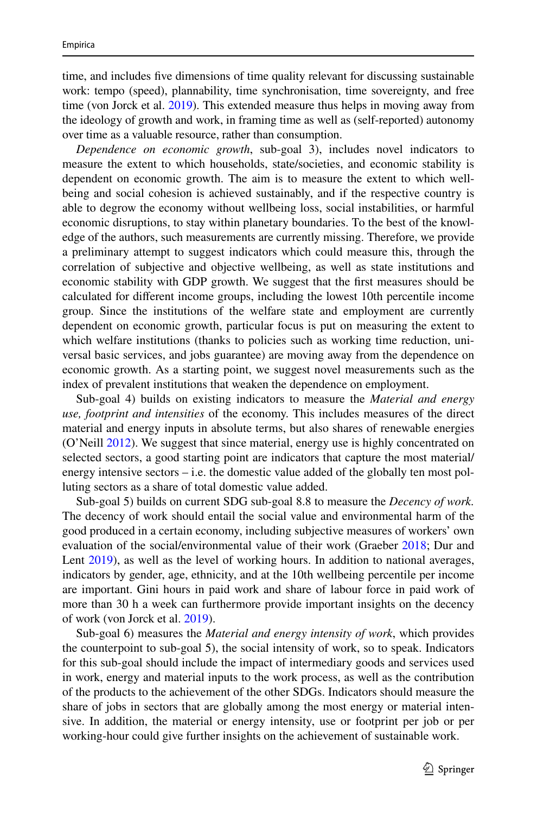time, and includes fve dimensions of time quality relevant for discussing sustainable work: tempo (speed), plannability, time synchronisation, time sovereignty, and free time (von Jorck et al. [2019\)](#page-30-6). This extended measure thus helps in moving away from the ideology of growth and work, in framing time as well as (self-reported) autonomy over time as a valuable resource, rather than consumption.

*Dependence on economic growth*, sub-goal 3), includes novel indicators to measure the extent to which households, state/societies, and economic stability is dependent on economic growth. The aim is to measure the extent to which wellbeing and social cohesion is achieved sustainably, and if the respective country is able to degrow the economy without wellbeing loss, social instabilities, or harmful economic disruptions, to stay within planetary boundaries. To the best of the knowledge of the authors, such measurements are currently missing. Therefore, we provide a preliminary attempt to suggest indicators which could measure this, through the correlation of subjective and objective wellbeing, as well as state institutions and economic stability with GDP growth. We suggest that the frst measures should be calculated for diferent income groups, including the lowest 10th percentile income group. Since the institutions of the welfare state and employment are currently dependent on economic growth, particular focus is put on measuring the extent to which welfare institutions (thanks to policies such as working time reduction, universal basic services, and jobs guarantee) are moving away from the dependence on economic growth. As a starting point, we suggest novel measurements such as the index of prevalent institutions that weaken the dependence on employment.

Sub-goal 4) builds on existing indicators to measure the *Material and energy use, footprint and intensities* of the economy. This includes measures of the direct material and energy inputs in absolute terms, but also shares of renewable energies (O'Neill [2012](#page-29-9)). We suggest that since material, energy use is highly concentrated on selected sectors, a good starting point are indicators that capture the most material/ energy intensive sectors  $-\mathbf{i}$ .e. the domestic value added of the globally ten most polluting sectors as a share of total domestic value added.

Sub-goal 5) builds on current SDG sub-goal 8.8 to measure the *Decency of work.* The decency of work should entail the social value and environmental harm of the good produced in a certain economy, including subjective measures of workers' own evaluation of the social/environmental value of their work (Graeber [2018](#page-27-8); Dur and Lent [2019\)](#page-26-8), as well as the level of working hours. In addition to national averages, indicators by gender, age, ethnicity, and at the 10th wellbeing percentile per income are important. Gini hours in paid work and share of labour force in paid work of more than 30 h a week can furthermore provide important insights on the decency of work (von Jorck et al. [2019\)](#page-30-6).

Sub-goal 6) measures the *Material and energy intensity of work*, which provides the counterpoint to sub-goal 5), the social intensity of work, so to speak. Indicators for this sub-goal should include the impact of intermediary goods and services used in work, energy and material inputs to the work process, as well as the contribution of the products to the achievement of the other SDGs. Indicators should measure the share of jobs in sectors that are globally among the most energy or material intensive. In addition, the material or energy intensity, use or footprint per job or per working-hour could give further insights on the achievement of sustainable work.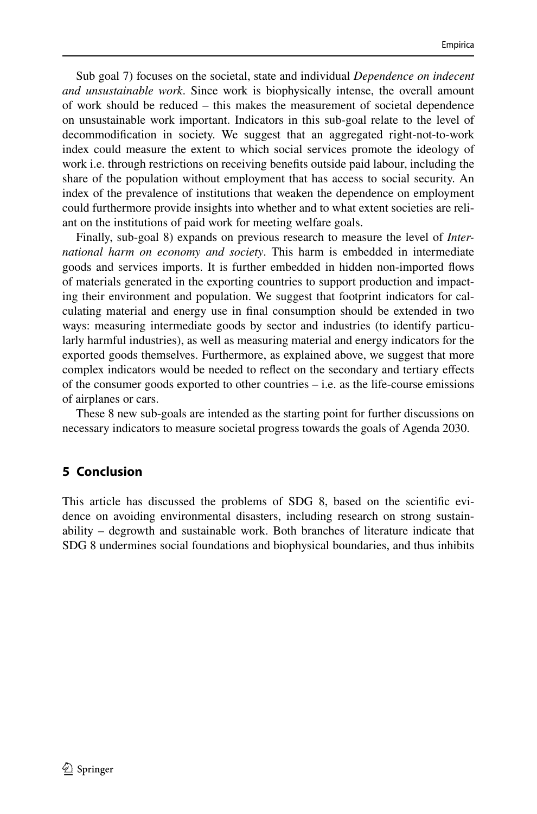Sub goal 7) focuses on the societal, state and individual *Dependence on indecent and unsustainable work*. Since work is biophysically intense, the overall amount of work should be reduced – this makes the measurement of societal dependence on unsustainable work important. Indicators in this sub-goal relate to the level of decommodifcation in society. We suggest that an aggregated right-not-to-work index could measure the extent to which social services promote the ideology of work i.e. through restrictions on receiving benefts outside paid labour, including the share of the population without employment that has access to social security. An index of the prevalence of institutions that weaken the dependence on employment could furthermore provide insights into whether and to what extent societies are reliant on the institutions of paid work for meeting welfare goals.

Finally, sub-goal 8) expands on previous research to measure the level of *International harm on economy and society*. This harm is embedded in intermediate goods and services imports. It is further embedded in hidden non-imported fows of materials generated in the exporting countries to support production and impacting their environment and population. We suggest that footprint indicators for calculating material and energy use in fnal consumption should be extended in two ways: measuring intermediate goods by sector and industries (to identify particularly harmful industries), as well as measuring material and energy indicators for the exported goods themselves. Furthermore, as explained above, we suggest that more complex indicators would be needed to refect on the secondary and tertiary efects of the consumer goods exported to other countries  $-$  i.e. as the life-course emissions of airplanes or cars.

These 8 new sub-goals are intended as the starting point for further discussions on necessary indicators to measure societal progress towards the goals of Agenda 2030.

# <span id="page-21-0"></span>**5 Conclusion**

This article has discussed the problems of SDG 8, based on the scientifc evidence on avoiding environmental disasters, including research on strong sustainability – degrowth and sustainable work. Both branches of literature indicate that SDG 8 undermines social foundations and biophysical boundaries, and thus inhibits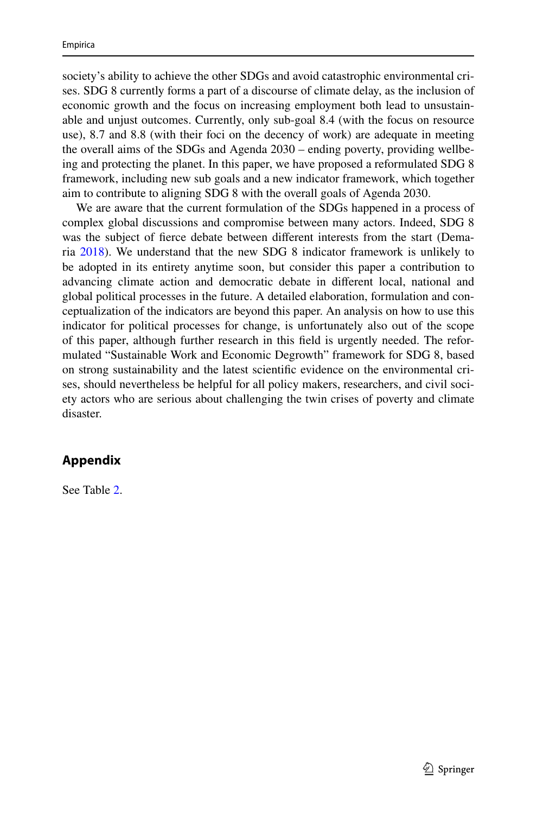society's ability to achieve the other SDGs and avoid catastrophic environmental crises. SDG 8 currently forms a part of a discourse of climate delay, as the inclusion of economic growth and the focus on increasing employment both lead to unsustainable and unjust outcomes. Currently, only sub-goal 8.4 (with the focus on resource use), 8.7 and 8.8 (with their foci on the decency of work) are adequate in meeting the overall aims of the SDGs and Agenda 2030 – ending poverty, providing wellbeing and protecting the planet. In this paper, we have proposed a reformulated SDG 8 framework, including new sub goals and a new indicator framework, which together aim to contribute to aligning SDG 8 with the overall goals of Agenda 2030.

We are aware that the current formulation of the SDGs happened in a process of complex global discussions and compromise between many actors. Indeed, SDG 8 was the subject of ferce debate between diferent interests from the start (Demaria [2018\)](#page-26-1). We understand that the new SDG 8 indicator framework is unlikely to be adopted in its entirety anytime soon, but consider this paper a contribution to advancing climate action and democratic debate in diferent local, national and global political processes in the future. A detailed elaboration, formulation and conceptualization of the indicators are beyond this paper. An analysis on how to use this indicator for political processes for change, is unfortunately also out of the scope of this paper, although further research in this feld is urgently needed. The reformulated "Sustainable Work and Economic Degrowth" framework for SDG 8, based on strong sustainability and the latest scientifc evidence on the environmental crises, should nevertheless be helpful for all policy makers, researchers, and civil society actors who are serious about challenging the twin crises of poverty and climate disaster.

# **Appendix**

See Table [2.](#page-23-0)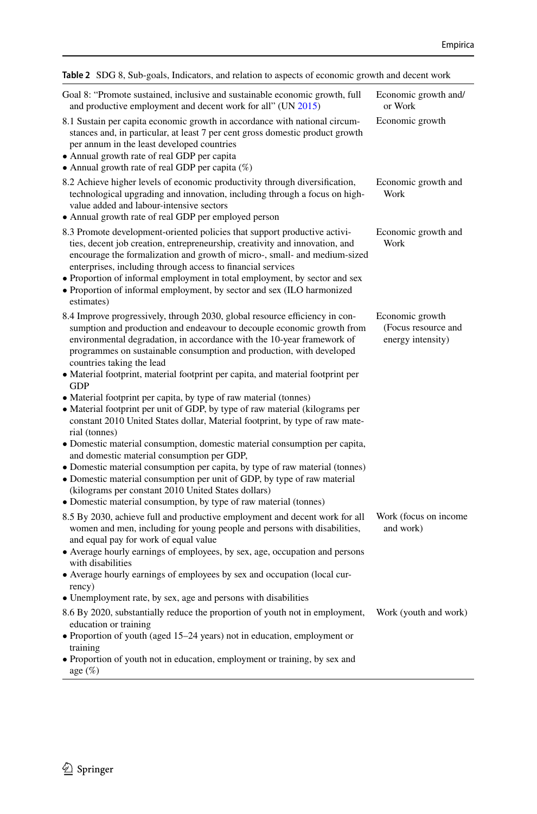<span id="page-23-0"></span>

| Table 2 SDG 8, Sub-goals, Indicators, and relation to aspects of economic growth and decent work                                                                                                                                                                                                                                                                                                                                                                           |                                                             |  |  |
|----------------------------------------------------------------------------------------------------------------------------------------------------------------------------------------------------------------------------------------------------------------------------------------------------------------------------------------------------------------------------------------------------------------------------------------------------------------------------|-------------------------------------------------------------|--|--|
| Goal 8: "Promote sustained, inclusive and sustainable economic growth, full<br>and productive employment and decent work for all" (UN 2015)                                                                                                                                                                                                                                                                                                                                | Economic growth and/<br>or Work                             |  |  |
| 8.1 Sustain per capita economic growth in accordance with national circum-<br>stances and, in particular, at least 7 per cent gross domestic product growth<br>per annum in the least developed countries<br>• Annual growth rate of real GDP per capita<br>• Annual growth rate of real GDP per capita $(\%)$                                                                                                                                                             | Economic growth                                             |  |  |
| 8.2 Achieve higher levels of economic productivity through diversification,<br>technological upgrading and innovation, including through a focus on high-<br>value added and labour-intensive sectors<br>• Annual growth rate of real GDP per employed person                                                                                                                                                                                                              | Economic growth and<br>Work                                 |  |  |
| 8.3 Promote development-oriented policies that support productive activi-<br>ties, decent job creation, entrepreneurship, creativity and innovation, and<br>encourage the formalization and growth of micro-, small- and medium-sized<br>enterprises, including through access to financial services<br>• Proportion of informal employment in total employment, by sector and sex<br>• Proportion of informal employment, by sector and sex (ILO harmonized<br>estimates) | Economic growth and<br>Work                                 |  |  |
| 8.4 Improve progressively, through 2030, global resource efficiency in con-<br>sumption and production and endeavour to decouple economic growth from<br>environmental degradation, in accordance with the 10-year framework of<br>programmes on sustainable consumption and production, with developed<br>countries taking the lead<br>• Material footprint, material footprint per capita, and material footprint per<br><b>GDP</b>                                      | Economic growth<br>(Focus resource and<br>energy intensity) |  |  |
| • Material footprint per capita, by type of raw material (tonnes)<br>• Material footprint per unit of GDP, by type of raw material (kilograms per<br>constant 2010 United States dollar, Material footprint, by type of raw mate-<br>rial (tonnes)<br>• Domestic material consumption, domestic material consumption per capita,<br>and domestic material consumption per GDP,<br>• Domestic material consumption per capita, by type of raw material (tonnes)             |                                                             |  |  |
| • Domestic material consumption per unit of GDP, by type of raw material<br>(kilograms per constant 2010 United States dollars)<br>• Domestic material consumption, by type of raw material (tonnes)                                                                                                                                                                                                                                                                       |                                                             |  |  |
| 8.5 By 2030, achieve full and productive employment and decent work for all<br>women and men, including for young people and persons with disabilities,<br>and equal pay for work of equal value                                                                                                                                                                                                                                                                           | Work (focus on income<br>and work)                          |  |  |

• Average hourly earnings of employees, by sex, age, occupation and persons with disabilities

• Average hourly earnings of employees by sex and occupation (local currency)

- Unemployment rate, by sex, age and persons with disabilities
- 8.6 By 2020, substantially reduce the proportion of youth not in employment, Work (youth and work)education or training
- Proportion of youth (aged 15–24 years) not in education, employment or training

• Proportion of youth not in education, employment or training, by sex and age (%)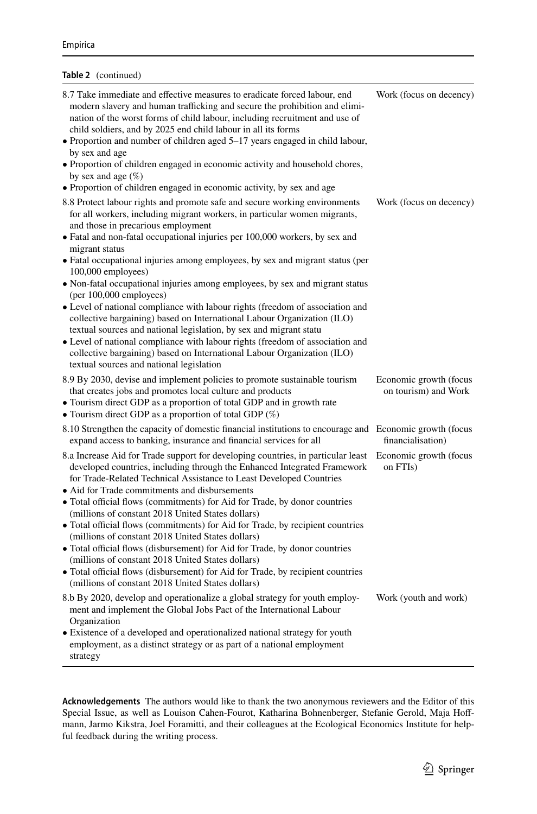#### **Table 2** (continued)

| 8.7 Take immediate and effective measures to eradicate forced labour, end<br>modern slavery and human trafficking and secure the prohibition and elimi-<br>nation of the worst forms of child labour, including recruitment and use of<br>child soldiers, and by 2025 end child labour in all its forms<br>• Proportion and number of children aged 5-17 years engaged in child labour,<br>by sex and age<br>• Proportion of children engaged in economic activity and household chores,<br>by sex and age $(\%)$<br>• Proportion of children engaged in economic activity, by sex and age                                                                                                                                                                                                                                                                                                                                                                   | Work (focus on decency)                        |
|--------------------------------------------------------------------------------------------------------------------------------------------------------------------------------------------------------------------------------------------------------------------------------------------------------------------------------------------------------------------------------------------------------------------------------------------------------------------------------------------------------------------------------------------------------------------------------------------------------------------------------------------------------------------------------------------------------------------------------------------------------------------------------------------------------------------------------------------------------------------------------------------------------------------------------------------------------------|------------------------------------------------|
| 8.8 Protect labour rights and promote safe and secure working environments<br>for all workers, including migrant workers, in particular women migrants,<br>and those in precarious employment<br>· Fatal and non-fatal occupational injuries per 100,000 workers, by sex and<br>migrant status<br>• Fatal occupational injuries among employees, by sex and migrant status (per<br>100,000 employees)<br>• Non-fatal occupational injuries among employees, by sex and migrant status<br>$(per 100,000$ employees)<br>• Level of national compliance with labour rights (freedom of association and<br>collective bargaining) based on International Labour Organization (ILO)<br>textual sources and national legislation, by sex and migrant statu<br>• Level of national compliance with labour rights (freedom of association and<br>collective bargaining) based on International Labour Organization (ILO)<br>textual sources and national legislation | Work (focus on decency)                        |
| 8.9 By 2030, devise and implement policies to promote sustainable tourism<br>that creates jobs and promotes local culture and products<br>• Tourism direct GDP as a proportion of total GDP and in growth rate<br>• Tourism direct GDP as a proportion of total GDP (%)                                                                                                                                                                                                                                                                                                                                                                                                                                                                                                                                                                                                                                                                                      | Economic growth (focus<br>on tourism) and Work |
| 8.10 Strengthen the capacity of domestic financial institutions to encourage and Economic growth (focus<br>expand access to banking, insurance and financial services for all                                                                                                                                                                                                                                                                                                                                                                                                                                                                                                                                                                                                                                                                                                                                                                                | financialisation)                              |
| 8.a Increase Aid for Trade support for developing countries, in particular least<br>developed countries, including through the Enhanced Integrated Framework<br>for Trade-Related Technical Assistance to Least Developed Countries<br>• Aid for Trade commitments and disbursements<br>• Total official flows (commitments) for Aid for Trade, by donor countries<br>(millions of constant 2018 United States dollars)<br>• Total official flows (commitments) for Aid for Trade, by recipient countries<br>(millions of constant 2018 United States dollars)                                                                                                                                                                                                                                                                                                                                                                                               | Economic growth (focus<br>on FTIs)             |
| • Total official flows (disbursement) for Aid for Trade, by donor countries<br>(millions of constant 2018 United States dollars)<br>• Total official flows (disbursement) for Aid for Trade, by recipient countries<br>(millions of constant 2018 United States dollars)                                                                                                                                                                                                                                                                                                                                                                                                                                                                                                                                                                                                                                                                                     |                                                |

**Acknowledgements** The authors would like to thank the two anonymous reviewers and the Editor of this Special Issue, as well as Louison Cahen-Fourot, Katharina Bohnenberger, Stefanie Gerold, Maja Hoffmann, Jarmo Kikstra, Joel Foramitti, and their colleagues at the Ecological Economics Institute for helpful feedback during the writing process.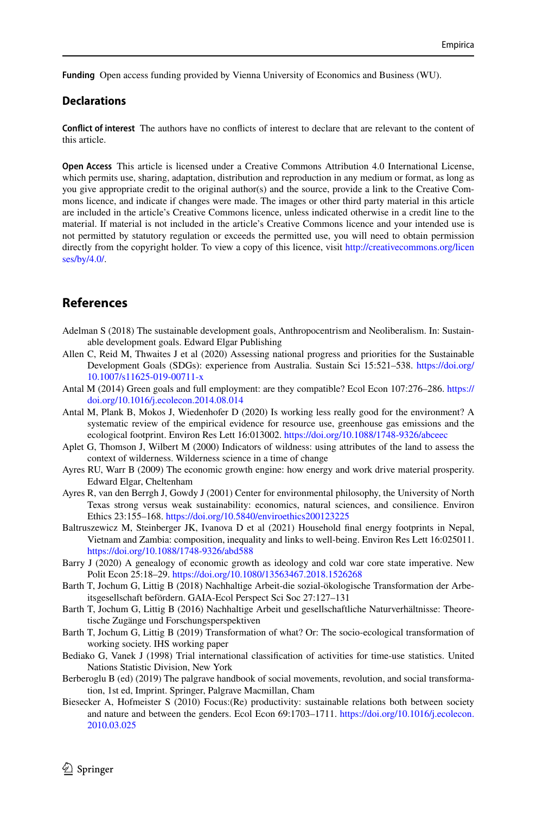**Funding** Open access funding provided by Vienna University of Economics and Business (WU).

### **Declarations**

**Confict of interest** The authors have no conficts of interest to declare that are relevant to the content of this article.

**Open Access** This article is licensed under a Creative Commons Attribution 4.0 International License, which permits use, sharing, adaptation, distribution and reproduction in any medium or format, as long as you give appropriate credit to the original author(s) and the source, provide a link to the Creative Commons licence, and indicate if changes were made. The images or other third party material in this article are included in the article's Creative Commons licence, unless indicated otherwise in a credit line to the material. If material is not included in the article's Creative Commons licence and your intended use is not permitted by statutory regulation or exceeds the permitted use, you will need to obtain permission directly from the copyright holder. To view a copy of this licence, visit [http://creativecommons.org/licen](http://creativecommons.org/licenses/by/4.0/) [ses/by/4.0/](http://creativecommons.org/licenses/by/4.0/).

### **References**

- <span id="page-25-0"></span>Adelman S (2018) The sustainable development goals, Anthropocentrism and Neoliberalism. In: Sustainable development goals. Edward Elgar Publishing
- <span id="page-25-5"></span>Allen C, Reid M, Thwaites J et al (2020) Assessing national progress and priorities for the Sustainable Development Goals (SDGs): experience from Australia. Sustain Sci 15:521–538. [https://doi.org/](https://doi.org/10.1007/s11625-019-00711-x) [10.1007/s11625-019-00711-x](https://doi.org/10.1007/s11625-019-00711-x)
- <span id="page-25-11"></span>Antal M (2014) Green goals and full employment: are they compatible? Ecol Econ 107:276–286. [https://](https://doi.org/10.1016/j.ecolecon.2014.08.014) [doi.org/10.1016/j.ecolecon.2014.08.014](https://doi.org/10.1016/j.ecolecon.2014.08.014)
- <span id="page-25-14"></span>Antal M, Plank B, Mokos J, Wiedenhofer D (2020) Is working less really good for the environment? A systematic review of the empirical evidence for resource use, greenhouse gas emissions and the ecological footprint. Environ Res Lett 16:013002. <https://doi.org/10.1088/1748-9326/abceec>
- <span id="page-25-6"></span>Aplet G, Thomson J, Wilbert M (2000) Indicators of wildness: using attributes of the land to assess the context of wilderness. Wilderness science in a time of change
- <span id="page-25-8"></span>Ayres RU, Warr B (2009) The economic growth engine: how energy and work drive material prosperity. Edward Elgar, Cheltenham
- <span id="page-25-1"></span>Ayres R, van den Berrgh J, Gowdy J (2001) Center for environmental philosophy, the University of North Texas strong versus weak sustainability: economics, natural sciences, and consilience. Environ Ethics 23:155–168. <https://doi.org/10.5840/enviroethics200123225>
- <span id="page-25-10"></span>Baltruszewicz M, Steinberger JK, Ivanova D et al (2021) Household fnal energy footprints in Nepal, Vietnam and Zambia: composition, inequality and links to well-being. Environ Res Lett 16:025011. <https://doi.org/10.1088/1748-9326/abd588>
- <span id="page-25-12"></span>Barry J (2020) A genealogy of economic growth as ideology and cold war core state imperative. New Polit Econ 25:18–29.<https://doi.org/10.1080/13563467.2018.1526268>
- <span id="page-25-3"></span>Barth T, Jochum G, Littig B (2018) Nachhaltige Arbeit-die sozial-ökologische Transformation der Arbeitsgesellschaft befördern. GAIA-Ecol Perspect Sci Soc 27:127–131
- <span id="page-25-2"></span>Barth T, Jochum G, Littig B (2016) Nachhaltige Arbeit und gesellschaftliche Naturverhältnisse: Theoretische Zugänge und Forschungsperspektiven
- <span id="page-25-4"></span>Barth T, Jochum G, Littig B (2019) Transformation of what? Or: The socio-ecological transformation of working society. IHS working paper
- <span id="page-25-7"></span>Bediako G, Vanek J (1998) Trial international classifcation of activities for time-use statistics. United Nations Statistic Division, New York
- <span id="page-25-9"></span>Berberoglu B (ed) (2019) The palgrave handbook of social movements, revolution, and social transformation, 1st ed, Imprint. Springer, Palgrave Macmillan, Cham
- <span id="page-25-13"></span>Biesecker A, Hofmeister S (2010) Focus:(Re) productivity: sustainable relations both between society and nature and between the genders. Ecol Econ 69:1703–1711. [https://doi.org/10.1016/j.ecolecon.](https://doi.org/10.1016/j.ecolecon.2010.03.025) [2010.03.025](https://doi.org/10.1016/j.ecolecon.2010.03.025)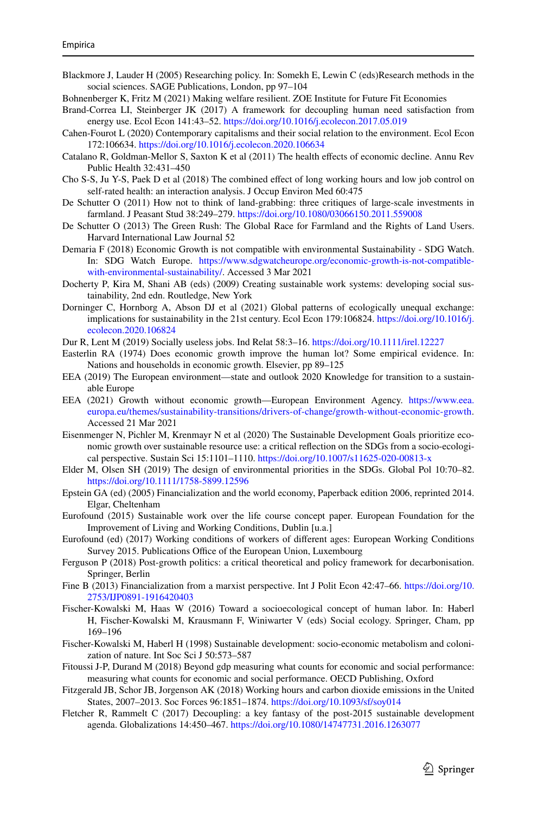- <span id="page-26-6"></span>Blackmore J, Lauder H (2005) Researching policy. In: Somekh E, Lewin C (eds)Research methods in the social sciences. SAGE Publications, London, pp 97–104
- <span id="page-26-21"></span>Bohnenberger K, Fritz M (2021) Making welfare resilient. ZOE Institute for Future Fit Economies
- <span id="page-26-12"></span>Brand-Correa LI, Steinberger JK (2017) A framework for decoupling human need satisfaction from energy use. Ecol Econ 141:43–52.<https://doi.org/10.1016/j.ecolecon.2017.05.019>
- <span id="page-26-13"></span>Cahen-Fourot L (2020) Contemporary capitalisms and their social relation to the environment. Ecol Econ 172:106634. <https://doi.org/10.1016/j.ecolecon.2020.106634>
- <span id="page-26-23"></span>Catalano R, Goldman-Mellor S, Saxton K et al (2011) The health efects of economic decline. Annu Rev Public Health 32:431–450
- <span id="page-26-24"></span>Cho S-S, Ju Y-S, Paek D et al (2018) The combined efect of long working hours and low job control on self-rated health: an interaction analysis. J Occup Environ Med 60:475
- <span id="page-26-14"></span>De Schutter O (2011) How not to think of land-grabbing: three critiques of large-scale investments in farmland. J Peasant Stud 38:249–279.<https://doi.org/10.1080/03066150.2011.559008>
- <span id="page-26-15"></span>De Schutter O (2013) The Green Rush: The Global Race for Farmland and the Rights of Land Users. Harvard International Law Journal 52
- <span id="page-26-1"></span>Demaria F (2018) Economic Growth is not compatible with environmental Sustainability - SDG Watch. In: SDG Watch Europe. [https://www.sdgwatcheurope.org/economic-growth-is-not-compatible](https://www.sdgwatcheurope.org/economic-growth-is-not-compatible-with-environmental-sustainability/)[with-environmental-sustainability/](https://www.sdgwatcheurope.org/economic-growth-is-not-compatible-with-environmental-sustainability/). Accessed 3 Mar 2021
- <span id="page-26-5"></span>Docherty P, Kira M, Shani AB (eds) (2009) Creating sustainable work systems: developing social sustainability, 2nd edn. Routledge, New York
- <span id="page-26-10"></span>Dorninger C, Hornborg A, Abson DJ et al (2021) Global patterns of ecologically unequal exchange: implications for sustainability in the 21st century. Ecol Econ 179:106824. [https://doi.org/10.1016/j.](https://doi.org/10.1016/j.ecolecon.2020.106824) [ecolecon.2020.106824](https://doi.org/10.1016/j.ecolecon.2020.106824)
- <span id="page-26-8"></span>Dur R, Lent M (2019) Socially useless jobs. Ind Relat 58:3–16. <https://doi.org/10.1111/irel.12227>
- <span id="page-26-11"></span>Easterlin RA (1974) Does economic growth improve the human lot? Some empirical evidence. In: Nations and households in economic growth. Elsevier, pp 89–125
- <span id="page-26-18"></span>EEA (2019) The European environment—state and outlook 2020 Knowledge for transition to a sustainable Europe
- <span id="page-26-19"></span>EEA (2021) Growth without economic growth—European Environment Agency. [https://www.eea.](https://www.eea.europa.eu/themes/sustainability-transitions/drivers-of-change/growth-without-economic-growth) [europa.eu/themes/sustainability-transitions/drivers-of-change/growth-without-economic-growth](https://www.eea.europa.eu/themes/sustainability-transitions/drivers-of-change/growth-without-economic-growth). Accessed 21 Mar 2021
- <span id="page-26-0"></span>Eisenmenger N, Pichler M, Krenmayr N et al (2020) The Sustainable Development Goals prioritize economic growth over sustainable resource use: a critical refection on the SDGs from a socio-ecological perspective. Sustain Sci 15:1101–1110.<https://doi.org/10.1007/s11625-020-00813-x>
- <span id="page-26-2"></span>Elder M, Olsen SH (2019) The design of environmental priorities in the SDGs. Global Pol 10:70–82. <https://doi.org/10.1111/1758-5899.12596>
- <span id="page-26-16"></span>Epstein GA (ed) (2005) Financialization and the world economy, Paperback edition 2006, reprinted 2014. Elgar, Cheltenham
- <span id="page-26-3"></span>Eurofound (2015) Sustainable work over the life course concept paper. European Foundation for the Improvement of Living and Working Conditions, Dublin [u.a.]
- <span id="page-26-4"></span>Eurofound (ed) (2017) Working conditions of workers of diferent ages: European Working Conditions Survey 2015. Publications Office of the European Union, Luxembourg
- <span id="page-26-22"></span>Ferguson P (2018) Post-growth politics: a critical theoretical and policy framework for decarbonisation. Springer, Berlin
- <span id="page-26-17"></span>Fine B (2013) Financialization from a marxist perspective. Int J Polit Econ 42:47–66. [https://doi.org/10.](https://doi.org/10.2753/IJP0891-1916420403) [2753/IJP0891-1916420403](https://doi.org/10.2753/IJP0891-1916420403)
- <span id="page-26-9"></span>Fischer-Kowalski M, Haas W (2016) Toward a socioecological concept of human labor. In: Haberl H, Fischer-Kowalski M, Krausmann F, Winiwarter V (eds) Social ecology. Springer, Cham, pp 169–196
- <span id="page-26-26"></span>Fischer-Kowalski M, Haberl H (1998) Sustainable development: socio-economic metabolism and colonization of nature. Int Soc Sci J 50:573–587
- <span id="page-26-7"></span>Fitoussi J-P, Durand M (2018) Beyond gdp measuring what counts for economic and social performance: measuring what counts for economic and social performance. OECD Publishing, Oxford
- <span id="page-26-25"></span>Fitzgerald JB, Schor JB, Jorgenson AK (2018) Working hours and carbon dioxide emissions in the United States, 2007–2013. Soc Forces 96:1851–1874.<https://doi.org/10.1093/sf/soy014>
- <span id="page-26-20"></span>Fletcher R, Rammelt C (2017) Decoupling: a key fantasy of the post-2015 sustainable development agenda. Globalizations 14:450–467. <https://doi.org/10.1080/14747731.2016.1263077>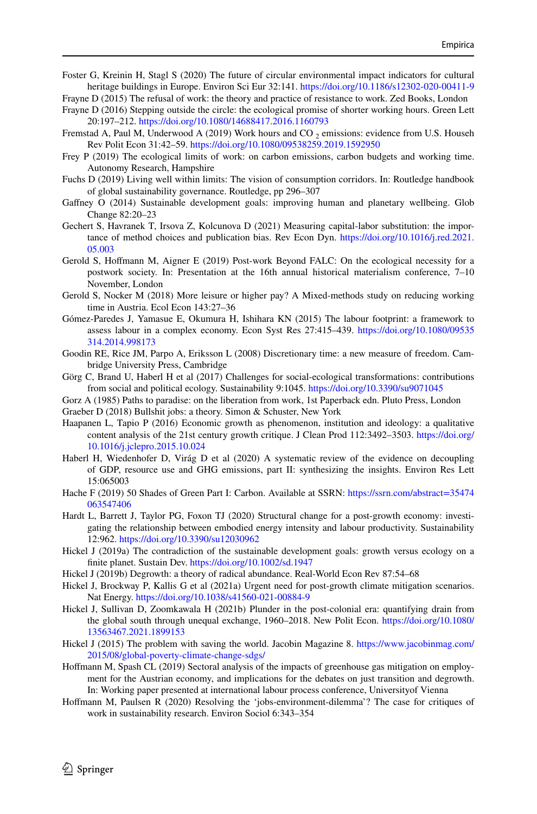- <span id="page-27-5"></span>Foster G, Kreinin H, Stagl S (2020) The future of circular environmental impact indicators for cultural heritage buildings in Europe. Environ Sci Eur 32:141. <https://doi.org/10.1186/s12302-020-00411-9>
- <span id="page-27-22"></span>Frayne D (2015) The refusal of work: the theory and practice of resistance to work. Zed Books, London
- <span id="page-27-23"></span>Frayne D (2016) Stepping outside the circle: the ecological promise of shorter working hours. Green Lett 20:197–212. <https://doi.org/10.1080/14688417.2016.1160793>
- <span id="page-27-20"></span>Fremstad A, Paul M, Underwood A (2019) Work hours and CO  $_2$  emissions: evidence from U.S. Househ Rev Polit Econ 31:42–59. <https://doi.org/10.1080/09538259.2019.1592950>
- <span id="page-27-17"></span>Frey P (2019) The ecological limits of work: on carbon emissions, carbon budgets and working time. Autonomy Research, Hampshire
- <span id="page-27-21"></span>Fuchs D (2019) Living well within limits: The vision of consumption corridors. In: Routledge handbook of global sustainability governance. Routledge, pp 296–307
- <span id="page-27-0"></span>Gaffney O (2014) Sustainable development goals: improving human and planetary wellbeing. Glob Change 82:20–23
- <span id="page-27-18"></span>Gechert S, Havranek T, Irsova Z, Kolcunova D (2021) Measuring capital-labor substitution: the importance of method choices and publication bias. Rev Econ Dyn. [https://doi.org/10.1016/j.red.2021.](https://doi.org/10.1016/j.red.2021.05.003) [05.003](https://doi.org/10.1016/j.red.2021.05.003)
- <span id="page-27-15"></span>Gerold S, Hofmann M, Aigner E (2019) Post-work Beyond FALC: On the ecological necessity for a postwork society. In: Presentation at the 16th annual historical materialism conference, 7–10 November, London
- <span id="page-27-19"></span>Gerold S, Nocker M (2018) More leisure or higher pay? A Mixed-methods study on reducing working time in Austria. Ecol Econ 143:27–36
- <span id="page-27-9"></span>Gómez-Paredes J, Yamasue E, Okumura H, Ishihara KN (2015) The labour footprint: a framework to assess labour in a complex economy. Econ Syst Res 27:415–439. [https://doi.org/10.1080/09535](https://doi.org/10.1080/09535314.2014.998173) [314.2014.998173](https://doi.org/10.1080/09535314.2014.998173)
- <span id="page-27-6"></span>Goodin RE, Rice JM, Parpo A, Eriksson L (2008) Discretionary time: a new measure of freedom. Cambridge University Press, Cambridge
- <span id="page-27-4"></span>Görg C, Brand U, Haberl H et al (2017) Challenges for social-ecological transformations: contributions from social and political ecology. Sustainability 9:1045.<https://doi.org/10.3390/su9071045>
- <span id="page-27-24"></span><span id="page-27-8"></span>Gorz A (1985) Paths to paradise: on the liberation from work, 1st Paperback edn. Pluto Press, London Graeber D (2018) Bullshit jobs: a theory. Simon & Schuster, New York
- <span id="page-27-7"></span>Haapanen L, Tapio P (2016) Economic growth as phenomenon, institution and ideology: a qualitative content analysis of the 21st century growth critique. J Clean Prod 112:3492–3503. [https://doi.org/](https://doi.org/10.1016/j.jclepro.2015.10.024) [10.1016/j.jclepro.2015.10.024](https://doi.org/10.1016/j.jclepro.2015.10.024)
- <span id="page-27-2"></span>Haberl H, Wiedenhofer D, Virág D et al (2020) A systematic review of the evidence on decoupling of GDP, resource use and GHG emissions, part II: synthesizing the insights. Environ Res Lett 15:065003
- <span id="page-27-13"></span>Hache F (2019) 50 Shades of Green Part I: Carbon. Available at SSRN: [https://ssrn.com/abstract=35474](https://ssrn.com/abstract=35474063547406) [063547406](https://ssrn.com/abstract=35474063547406)
- <span id="page-27-14"></span>Hardt L, Barrett J, Taylor PG, Foxon TJ (2020) Structural change for a post-growth economy: investigating the relationship between embodied energy intensity and labour productivity. Sustainability 12:962. <https://doi.org/10.3390/su12030962>
- <span id="page-27-1"></span>Hickel J (2019a) The contradiction of the sustainable development goals: growth versus ecology on a fnite planet. Sustain Dev. <https://doi.org/10.1002/sd.1947>
- <span id="page-27-10"></span>Hickel J (2019b) Degrowth: a theory of radical abundance. Real-World Econ Rev 87:54–68
- <span id="page-27-3"></span>Hickel J, Brockway P, Kallis G et al (2021a) Urgent need for post-growth climate mitigation scenarios. Nat Energy.<https://doi.org/10.1038/s41560-021-00884-9>
- <span id="page-27-12"></span>Hickel J, Sullivan D, Zoomkawala H (2021b) Plunder in the post-colonial era: quantifying drain from the global south through unequal exchange, 1960–2018. New Polit Econ. [https://doi.org/10.1080/](https://doi.org/10.1080/13563467.2021.1899153) [13563467.2021.1899153](https://doi.org/10.1080/13563467.2021.1899153)
- <span id="page-27-11"></span>Hickel J (2015) The problem with saving the world. Jacobin Magazine 8. [https://www.jacobinmag.com/](https://www.jacobinmag.com/2015/08/global-poverty-climate-change-sdgs/) [2015/08/global-poverty-climate-change-sdgs/](https://www.jacobinmag.com/2015/08/global-poverty-climate-change-sdgs/)
- Hofmann M, Spash CL (2019) Sectoral analysis of the impacts of greenhouse gas mitigation on employment for the Austrian economy, and implications for the debates on just transition and degrowth. In: Working paper presented at international labour process conference, Universityof Vienna
- <span id="page-27-16"></span>Hofmann M, Paulsen R (2020) Resolving the 'jobs-environment-dilemma'? The case for critiques of work in sustainability research. Environ Sociol 6:343–354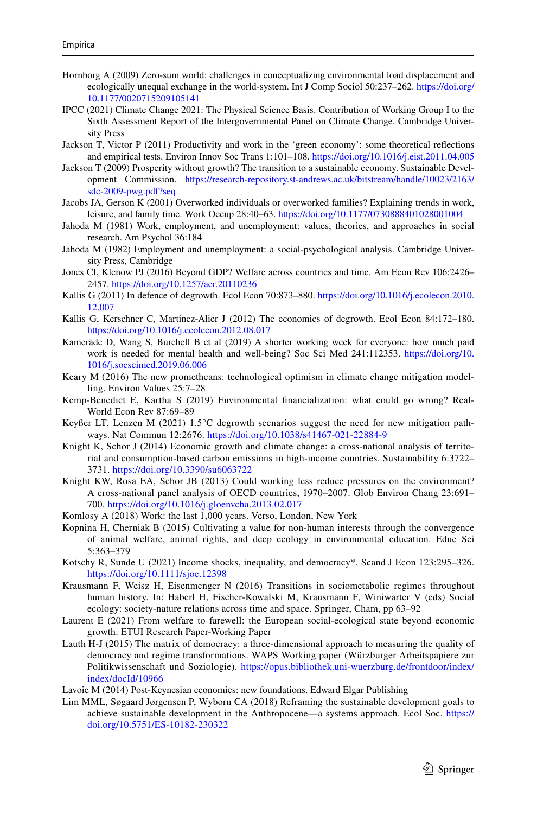- <span id="page-28-7"></span>Hornborg A (2009) Zero-sum world: challenges in conceptualizing environmental load displacement and ecologically unequal exchange in the world-system. Int J Comp Sociol 50:237–262. [https://doi.org/](https://doi.org/10.1177/0020715209105141) [10.1177/0020715209105141](https://doi.org/10.1177/0020715209105141)
- <span id="page-28-4"></span>IPCC (2021) Climate Change 2021: The Physical Science Basis. Contribution of Working Group I to the Sixth Assessment Report of the Intergovernmental Panel on Climate Change. Cambridge University Press
- <span id="page-28-12"></span>Jackson T, Victor P (2011) Productivity and work in the 'green economy': some theoretical refections and empirical tests. Environ Innov Soc Trans 1:101–108. <https://doi.org/10.1016/j.eist.2011.04.005>
- <span id="page-28-11"></span>Jackson T (2009) Prosperity without growth? The transition to a sustainable economy. Sustainable Development Commission. [https://research-repository.st-andrews.ac.uk/bitstream/handle/10023/2163/](https://research-repository.st-andrews.ac.uk/bitstream/handle/10023/2163/sdc-2009-pwg.pdf?seq) [sdc-2009-pwg.pdf?seq](https://research-repository.st-andrews.ac.uk/bitstream/handle/10023/2163/sdc-2009-pwg.pdf?seq)
- <span id="page-28-20"></span>Jacobs JA, Gerson K (2001) Overworked individuals or overworked families? Explaining trends in work, leisure, and family time. Work Occup 28:40–63. <https://doi.org/10.1177/0730888401028001004>
- <span id="page-28-17"></span>Jahoda M (1981) Work, employment, and unemployment: values, theories, and approaches in social research. Am Psychol 36:184
- <span id="page-28-18"></span>Jahoda M (1982) Employment and unemployment: a social-psychological analysis. Cambridge University Press, Cambridge
- <span id="page-28-6"></span>Jones CI, Klenow PJ (2016) Beyond GDP? Welfare across countries and time. Am Econ Rev 106:2426– 2457. <https://doi.org/10.1257/aer.20110236>
- <span id="page-28-1"></span>Kallis G (2011) In defence of degrowth. Ecol Econ 70:873–880. [https://doi.org/10.1016/j.ecolecon.2010.](https://doi.org/10.1016/j.ecolecon.2010.12.007) [12.007](https://doi.org/10.1016/j.ecolecon.2010.12.007)
- <span id="page-28-13"></span>Kallis G, Kerschner C, Martinez-Alier J (2012) The economics of degrowth. Ecol Econ 84:172–180. <https://doi.org/10.1016/j.ecolecon.2012.08.017>
- <span id="page-28-19"></span>Kamerāde D, Wang S, Burchell B et al (2019) A shorter working week for everyone: how much paid work is needed for mental health and well-being? Soc Sci Med 241:112353. [https://doi.org/10.](https://doi.org/10.1016/j.socscimed.2019.06.006) [1016/j.socscimed.2019.06.006](https://doi.org/10.1016/j.socscimed.2019.06.006)
- <span id="page-28-22"></span>Keary M (2016) The new prometheans: technological optimism in climate change mitigation modelling. Environ Values 25:7–28
- <span id="page-28-8"></span>Kemp-Benedict E, Kartha S (2019) Environmental fnancialization: what could go wrong? Real-World Econ Rev 87:69–89
- <span id="page-28-2"></span>Keyßer LT, Lenzen M (2021) 1.5°C degrowth scenarios suggest the need for new mitigation pathways. Nat Commun 12:2676. <https://doi.org/10.1038/s41467-021-22884-9>
- <span id="page-28-21"></span>Knight K, Schor J (2014) Economic growth and climate change: a cross-national analysis of territorial and consumption-based carbon emissions in high-income countries. Sustainability 6:3722– 3731.<https://doi.org/10.3390/su6063722>
- <span id="page-28-14"></span>Knight KW, Rosa EA, Schor JB (2013) Could working less reduce pressures on the environment? A cross-national panel analysis of OECD countries, 1970–2007. Glob Environ Chang 23:691– 700. <https://doi.org/10.1016/j.gloenvcha.2013.02.017>
- <span id="page-28-16"></span>Komlosy A (2018) Work: the last 1,000 years. Verso, London, New York
- <span id="page-28-9"></span>Kopnina H, Cherniak B (2015) Cultivating a value for non-human interests through the convergence of animal welfare, animal rights, and deep ecology in environmental education. Educ Sci 5:363–379
- <span id="page-28-23"></span>Kotschy R, Sunde U (2021) Income shocks, inequality, and democracy\*. Scand J Econ 123:295–326. <https://doi.org/10.1111/sjoe.12398>
- <span id="page-28-3"></span>Krausmann F, Weisz H, Eisenmenger N (2016) Transitions in sociometabolic regimes throughout human history. In: Haberl H, Fischer-Kowalski M, Krausmann F, Winiwarter V (eds) Social ecology: society-nature relations across time and space. Springer, Cham, pp 63–92
- <span id="page-28-10"></span>Laurent E (2021) From welfare to farewell: the European social-ecological state beyond economic growth. ETUI Research Paper-Working Paper
- <span id="page-28-5"></span>Lauth H-J (2015) The matrix of democracy: a three-dimensional approach to measuring the quality of democracy and regime transformations. WAPS Working paper (Würzburger Arbeitspapiere zur Politikwissenschaft und Soziologie). [https://opus.bibliothek.uni-wuerzburg.de/frontdoor/index/](https://opus.bibliothek.uni-wuerzburg.de/frontdoor/index/index/docId/10966) [index/docId/10966](https://opus.bibliothek.uni-wuerzburg.de/frontdoor/index/index/docId/10966)
- <span id="page-28-15"></span>Lavoie M (2014) Post-Keynesian economics: new foundations. Edward Elgar Publishing
- <span id="page-28-0"></span>Lim MML, Søgaard Jørgensen P, Wyborn CA (2018) Reframing the sustainable development goals to achieve sustainable development in the Anthropocene—a systems approach. Ecol Soc. [https://](https://doi.org/10.5751/ES-10182-230322) [doi.org/10.5751/ES-10182-230322](https://doi.org/10.5751/ES-10182-230322)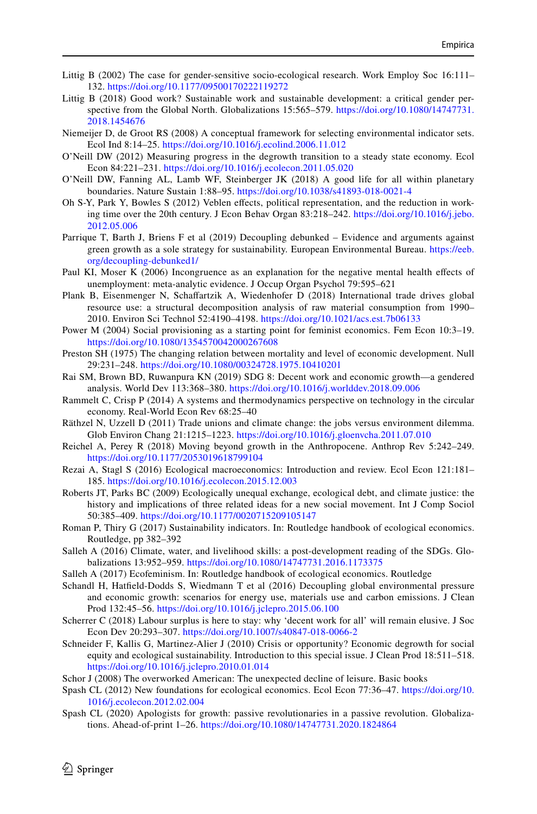- <span id="page-29-4"></span>Littig B (2002) The case for gender-sensitive socio-ecological research. Work Employ Soc 16:111– 132. <https://doi.org/10.1177/09500170222119272>
- <span id="page-29-5"></span>Littig B (2018) Good work? Sustainable work and sustainable development: a critical gender perspective from the Global North. Globalizations 15:565–579. [https://doi.org/10.1080/14747731.](https://doi.org/10.1080/14747731.2018.1454676) [2018.1454676](https://doi.org/10.1080/14747731.2018.1454676)
- <span id="page-29-6"></span>Niemeijer D, de Groot RS (2008) A conceptual framework for selecting environmental indicator sets. Ecol Ind 8:14–25. <https://doi.org/10.1016/j.ecolind.2006.11.012>
- <span id="page-29-9"></span>O'Neill DW (2012) Measuring progress in the degrowth transition to a steady state economy. Ecol Econ 84:221–231. <https://doi.org/10.1016/j.ecolecon.2011.05.020>
- <span id="page-29-10"></span>O'Neill DW, Fanning AL, Lamb WF, Steinberger JK (2018) A good life for all within planetary boundaries. Nature Sustain 1:88–95.<https://doi.org/10.1038/s41893-018-0021-4>
- <span id="page-29-19"></span>Oh S-Y, Park Y, Bowles S (2012) Veblen efects, political representation, and the reduction in working time over the 20th century. J Econ Behav Organ 83:218–242. [https://doi.org/10.1016/j.jebo.](https://doi.org/10.1016/j.jebo.2012.05.006) [2012.05.006](https://doi.org/10.1016/j.jebo.2012.05.006)
- <span id="page-29-15"></span>Parrique T, Barth J, Briens F et al (2019) Decoupling debunked – Evidence and arguments against green growth as a sole strategy for sustainability. European Environmental Bureau. [https://eeb.](https://eeb.org/decoupling-debunked1/) [org/decoupling-debunked1/](https://eeb.org/decoupling-debunked1/)
- <span id="page-29-20"></span>Paul KI, Moser K (2006) Incongruence as an explanation for the negative mental health efects of unemployment: meta-analytic evidence. J Occup Organ Psychol 79:595–621
- <span id="page-29-13"></span>Plank B, Eisenmenger N, Schafartzik A, Wiedenhofer D (2018) International trade drives global resource use: a structural decomposition analysis of raw material consumption from 1990– 2010. Environ Sci Technol 52:4190–4198. <https://doi.org/10.1021/acs.est.7b06133>
- <span id="page-29-21"></span>Power M (2004) Social provisioning as a starting point for feminist economics. Fem Econ 10:3–19. <https://doi.org/10.1080/1354570042000267608>
- <span id="page-29-11"></span>Preston SH (1975) The changing relation between mortality and level of economic development. Null 29:231–248. <https://doi.org/10.1080/00324728.1975.10410201>
- <span id="page-29-1"></span>Rai SM, Brown BD, Ruwanpura KN (2019) SDG 8: Decent work and economic growth—a gendered analysis. World Dev 113:368–380. <https://doi.org/10.1016/j.worlddev.2018.09.006>
- <span id="page-29-14"></span>Rammelt C, Crisp P (2014) A systems and thermodynamics perspective on technology in the circular economy. Real-World Econ Rev 68:25–40
- <span id="page-29-25"></span>Räthzel N, Uzzell D (2011) Trade unions and climate change: the jobs versus environment dilemma. Glob Environ Chang 21:1215–1223. <https://doi.org/10.1016/j.gloenvcha.2011.07.010>
- <span id="page-29-18"></span>Reichel A, Perey R (2018) Moving beyond growth in the Anthropocene. Anthrop Rev 5:242–249. <https://doi.org/10.1177/2053019618799104>
- <span id="page-29-12"></span>Rezai A, Stagl S (2016) Ecological macroeconomics: Introduction and review. Ecol Econ 121:181– 185. <https://doi.org/10.1016/j.ecolecon.2015.12.003>
- <span id="page-29-16"></span>Roberts JT, Parks BC (2009) Ecologically unequal exchange, ecological debt, and climate justice: the history and implications of three related ideas for a new social movement. Int J Comp Sociol 50:385–409. <https://doi.org/10.1177/0020715209105147>
- <span id="page-29-7"></span>Roman P, Thiry G (2017) Sustainability indicators. In: Routledge handbook of ecological economics. Routledge, pp 382–392
- <span id="page-29-0"></span>Salleh A (2016) Climate, water, and livelihood skills: a post-development reading of the SDGs. Globalizations 13:952–959. <https://doi.org/10.1080/14747731.2016.1173375>
- <span id="page-29-22"></span>Salleh A (2017) Ecofeminism. In: Routledge handbook of ecological economics. Routledge
- <span id="page-29-17"></span>Schandl H, Hatfeld-Dodds S, Wiedmann T et al (2016) Decoupling global environmental pressure and economic growth: scenarios for energy use, materials use and carbon emissions. J Clean Prod 132:45–56. <https://doi.org/10.1016/j.jclepro.2015.06.100>
- <span id="page-29-24"></span>Scherrer C (2018) Labour surplus is here to stay: why 'decent work for all' will remain elusive. J Soc Econ Dev 20:293–307. <https://doi.org/10.1007/s40847-018-0066-2>
- <span id="page-29-3"></span>Schneider F, Kallis G, Martinez-Alier J (2010) Crisis or opportunity? Economic degrowth for social equity and ecological sustainability. Introduction to this special issue. J Clean Prod 18:511–518. <https://doi.org/10.1016/j.jclepro.2010.01.014>
- <span id="page-29-23"></span>Schor J (2008) The overworked American: The unexpected decline of leisure. Basic books
- <span id="page-29-8"></span>Spash CL (2012) New foundations for ecological economics. Ecol Econ 77:36–47. [https://doi.org/10.](https://doi.org/10.1016/j.ecolecon.2012.02.004) [1016/j.ecolecon.2012.02.004](https://doi.org/10.1016/j.ecolecon.2012.02.004)
- <span id="page-29-2"></span>Spash CL (2020) Apologists for growth: passive revolutionaries in a passive revolution. Globalizations. Ahead-of-print 1–26.<https://doi.org/10.1080/14747731.2020.1824864>